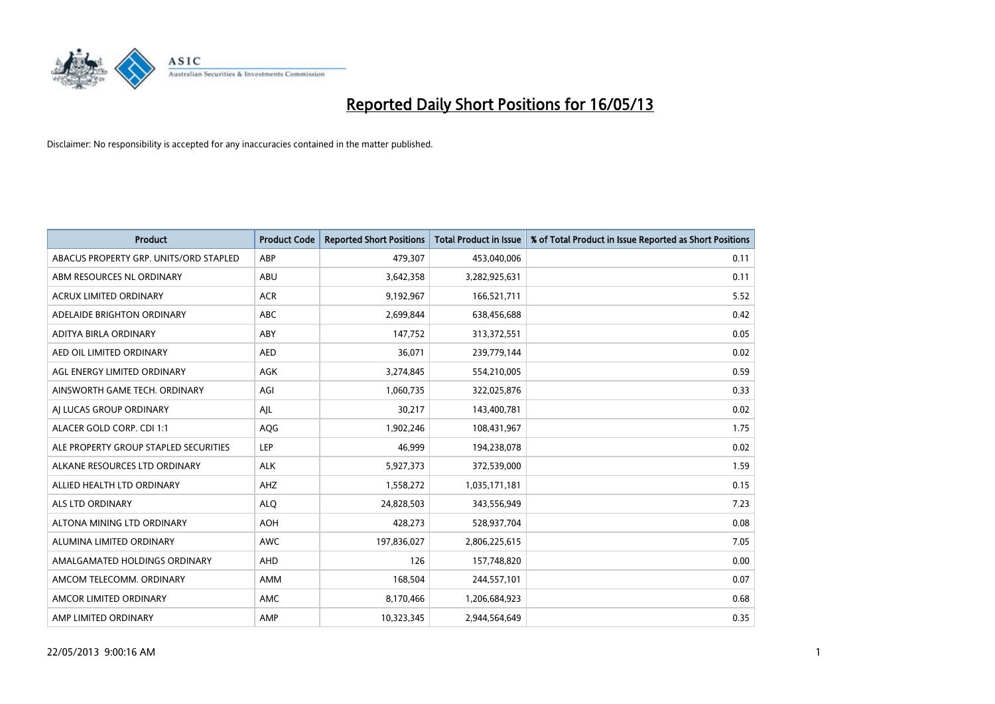

| <b>Product</b>                         | <b>Product Code</b> | <b>Reported Short Positions</b> | <b>Total Product in Issue</b> | % of Total Product in Issue Reported as Short Positions |
|----------------------------------------|---------------------|---------------------------------|-------------------------------|---------------------------------------------------------|
| ABACUS PROPERTY GRP. UNITS/ORD STAPLED | ABP                 | 479,307                         | 453,040,006                   | 0.11                                                    |
| ABM RESOURCES NL ORDINARY              | ABU                 | 3,642,358                       | 3,282,925,631                 | 0.11                                                    |
| <b>ACRUX LIMITED ORDINARY</b>          | <b>ACR</b>          | 9,192,967                       | 166,521,711                   | 5.52                                                    |
| ADELAIDE BRIGHTON ORDINARY             | <b>ABC</b>          | 2,699,844                       | 638,456,688                   | 0.42                                                    |
| <b>ADITYA BIRLA ORDINARY</b>           | ABY                 | 147,752                         | 313,372,551                   | 0.05                                                    |
| AED OIL LIMITED ORDINARY               | <b>AED</b>          | 36,071                          | 239,779,144                   | 0.02                                                    |
| AGL ENERGY LIMITED ORDINARY            | AGK                 | 3,274,845                       | 554,210,005                   | 0.59                                                    |
| AINSWORTH GAME TECH. ORDINARY          | AGI                 | 1,060,735                       | 322,025,876                   | 0.33                                                    |
| AI LUCAS GROUP ORDINARY                | AJL                 | 30,217                          | 143,400,781                   | 0.02                                                    |
| ALACER GOLD CORP. CDI 1:1              | AQG                 | 1,902,246                       | 108,431,967                   | 1.75                                                    |
| ALE PROPERTY GROUP STAPLED SECURITIES  | <b>LEP</b>          | 46,999                          | 194,238,078                   | 0.02                                                    |
| ALKANE RESOURCES LTD ORDINARY          | <b>ALK</b>          | 5,927,373                       | 372,539,000                   | 1.59                                                    |
| ALLIED HEALTH LTD ORDINARY             | AHZ                 | 1,558,272                       | 1,035,171,181                 | 0.15                                                    |
| <b>ALS LTD ORDINARY</b>                | <b>ALQ</b>          | 24,828,503                      | 343,556,949                   | 7.23                                                    |
| ALTONA MINING LTD ORDINARY             | <b>AOH</b>          | 428,273                         | 528,937,704                   | 0.08                                                    |
| ALUMINA LIMITED ORDINARY               | <b>AWC</b>          | 197,836,027                     | 2,806,225,615                 | 7.05                                                    |
| AMALGAMATED HOLDINGS ORDINARY          | <b>AHD</b>          | 126                             | 157,748,820                   | 0.00                                                    |
| AMCOM TELECOMM. ORDINARY               | <b>AMM</b>          | 168,504                         | 244,557,101                   | 0.07                                                    |
| AMCOR LIMITED ORDINARY                 | AMC                 | 8,170,466                       | 1,206,684,923                 | 0.68                                                    |
| AMP LIMITED ORDINARY                   | AMP                 | 10,323,345                      | 2,944,564,649                 | 0.35                                                    |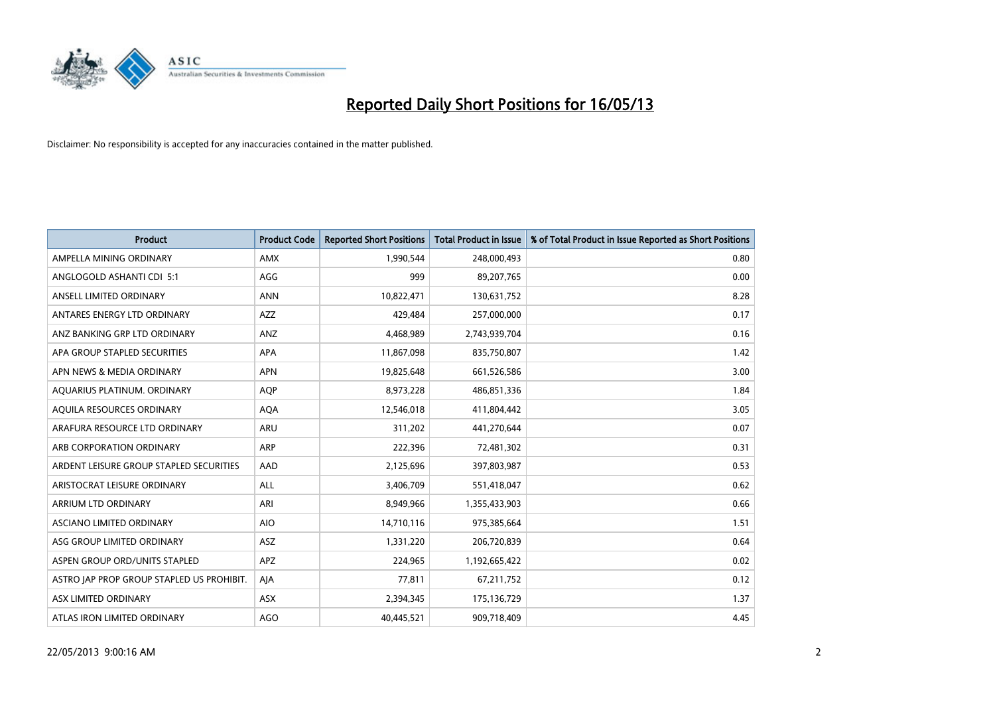

| <b>Product</b>                            | <b>Product Code</b> | <b>Reported Short Positions</b> | <b>Total Product in Issue</b> | % of Total Product in Issue Reported as Short Positions |
|-------------------------------------------|---------------------|---------------------------------|-------------------------------|---------------------------------------------------------|
| AMPELLA MINING ORDINARY                   | <b>AMX</b>          | 1,990,544                       | 248,000,493                   | 0.80                                                    |
| ANGLOGOLD ASHANTI CDI 5:1                 | AGG                 | 999                             | 89,207,765                    | 0.00                                                    |
| ANSELL LIMITED ORDINARY                   | <b>ANN</b>          | 10,822,471                      | 130,631,752                   | 8.28                                                    |
| ANTARES ENERGY LTD ORDINARY               | <b>AZZ</b>          | 429,484                         | 257,000,000                   | 0.17                                                    |
| ANZ BANKING GRP LTD ORDINARY              | ANZ                 | 4,468,989                       | 2,743,939,704                 | 0.16                                                    |
| APA GROUP STAPLED SECURITIES              | <b>APA</b>          | 11,867,098                      | 835,750,807                   | 1.42                                                    |
| APN NEWS & MEDIA ORDINARY                 | <b>APN</b>          | 19,825,648                      | 661,526,586                   | 3.00                                                    |
| AQUARIUS PLATINUM. ORDINARY               | AQP                 | 8,973,228                       | 486,851,336                   | 1.84                                                    |
| AQUILA RESOURCES ORDINARY                 | <b>AQA</b>          | 12,546,018                      | 411,804,442                   | 3.05                                                    |
| ARAFURA RESOURCE LTD ORDINARY             | <b>ARU</b>          | 311,202                         | 441,270,644                   | 0.07                                                    |
| ARB CORPORATION ORDINARY                  | <b>ARP</b>          | 222,396                         | 72,481,302                    | 0.31                                                    |
| ARDENT LEISURE GROUP STAPLED SECURITIES   | AAD                 | 2,125,696                       | 397,803,987                   | 0.53                                                    |
| ARISTOCRAT LEISURE ORDINARY               | ALL                 | 3,406,709                       | 551,418,047                   | 0.62                                                    |
| <b>ARRIUM LTD ORDINARY</b>                | ARI                 | 8,949,966                       | 1,355,433,903                 | 0.66                                                    |
| ASCIANO LIMITED ORDINARY                  | <b>AIO</b>          | 14,710,116                      | 975,385,664                   | 1.51                                                    |
| ASG GROUP LIMITED ORDINARY                | ASZ                 | 1,331,220                       | 206,720,839                   | 0.64                                                    |
| ASPEN GROUP ORD/UNITS STAPLED             | <b>APZ</b>          | 224,965                         | 1,192,665,422                 | 0.02                                                    |
| ASTRO JAP PROP GROUP STAPLED US PROHIBIT. | AJA                 | 77,811                          | 67,211,752                    | 0.12                                                    |
| ASX LIMITED ORDINARY                      | <b>ASX</b>          | 2,394,345                       | 175,136,729                   | 1.37                                                    |
| ATLAS IRON LIMITED ORDINARY               | AGO                 | 40,445,521                      | 909,718,409                   | 4.45                                                    |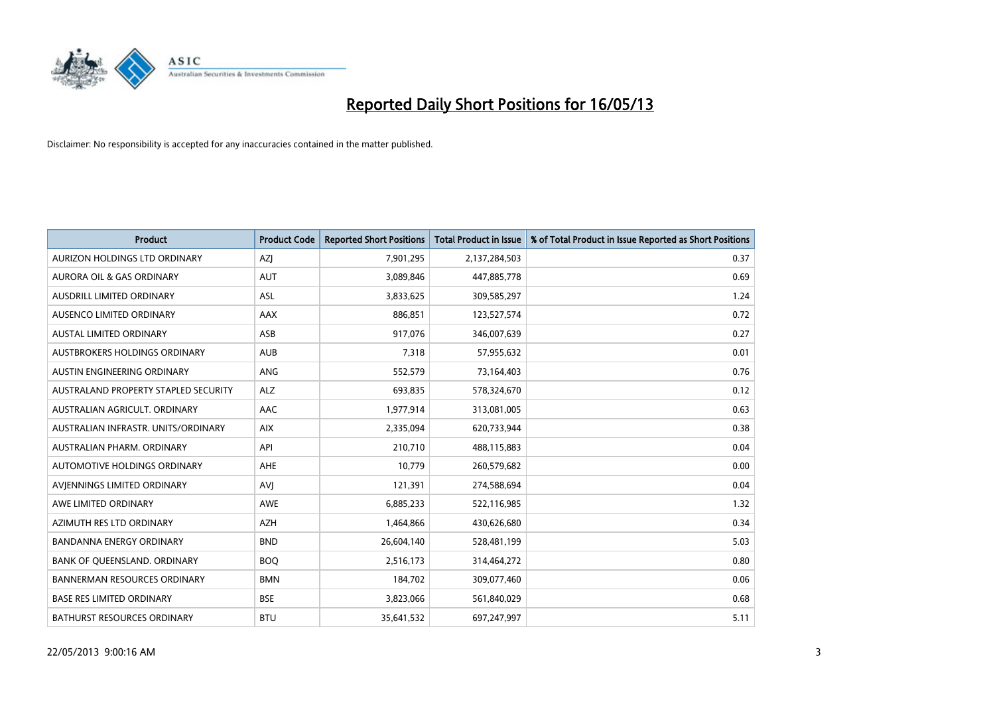

| <b>Product</b>                       | <b>Product Code</b> | <b>Reported Short Positions</b> | <b>Total Product in Issue</b> | % of Total Product in Issue Reported as Short Positions |
|--------------------------------------|---------------------|---------------------------------|-------------------------------|---------------------------------------------------------|
| AURIZON HOLDINGS LTD ORDINARY        | AZJ                 | 7,901,295                       | 2,137,284,503                 | 0.37                                                    |
| AURORA OIL & GAS ORDINARY            | <b>AUT</b>          | 3,089,846                       | 447,885,778                   | 0.69                                                    |
| <b>AUSDRILL LIMITED ORDINARY</b>     | <b>ASL</b>          | 3,833,625                       | 309,585,297                   | 1.24                                                    |
| AUSENCO LIMITED ORDINARY             | AAX                 | 886,851                         | 123,527,574                   | 0.72                                                    |
| <b>AUSTAL LIMITED ORDINARY</b>       | ASB                 | 917,076                         | 346,007,639                   | 0.27                                                    |
| AUSTBROKERS HOLDINGS ORDINARY        | <b>AUB</b>          | 7,318                           | 57,955,632                    | 0.01                                                    |
| AUSTIN ENGINEERING ORDINARY          | <b>ANG</b>          | 552,579                         | 73,164,403                    | 0.76                                                    |
| AUSTRALAND PROPERTY STAPLED SECURITY | <b>ALZ</b>          | 693,835                         | 578,324,670                   | 0.12                                                    |
| AUSTRALIAN AGRICULT, ORDINARY        | AAC                 | 1,977,914                       | 313,081,005                   | 0.63                                                    |
| AUSTRALIAN INFRASTR, UNITS/ORDINARY  | <b>AIX</b>          | 2,335,094                       | 620,733,944                   | 0.38                                                    |
| AUSTRALIAN PHARM. ORDINARY           | API                 | 210,710                         | 488,115,883                   | 0.04                                                    |
| <b>AUTOMOTIVE HOLDINGS ORDINARY</b>  | AHE                 | 10,779                          | 260,579,682                   | 0.00                                                    |
| AVIENNINGS LIMITED ORDINARY          | AVI                 | 121,391                         | 274,588,694                   | 0.04                                                    |
| AWE LIMITED ORDINARY                 | <b>AWE</b>          | 6,885,233                       | 522,116,985                   | 1.32                                                    |
| AZIMUTH RES LTD ORDINARY             | <b>AZH</b>          | 1,464,866                       | 430,626,680                   | 0.34                                                    |
| BANDANNA ENERGY ORDINARY             | <b>BND</b>          | 26,604,140                      | 528,481,199                   | 5.03                                                    |
| BANK OF QUEENSLAND. ORDINARY         | <b>BOQ</b>          | 2,516,173                       | 314,464,272                   | 0.80                                                    |
| <b>BANNERMAN RESOURCES ORDINARY</b>  | <b>BMN</b>          | 184,702                         | 309,077,460                   | 0.06                                                    |
| <b>BASE RES LIMITED ORDINARY</b>     | <b>BSE</b>          | 3,823,066                       | 561,840,029                   | 0.68                                                    |
| <b>BATHURST RESOURCES ORDINARY</b>   | <b>BTU</b>          | 35,641,532                      | 697,247,997                   | 5.11                                                    |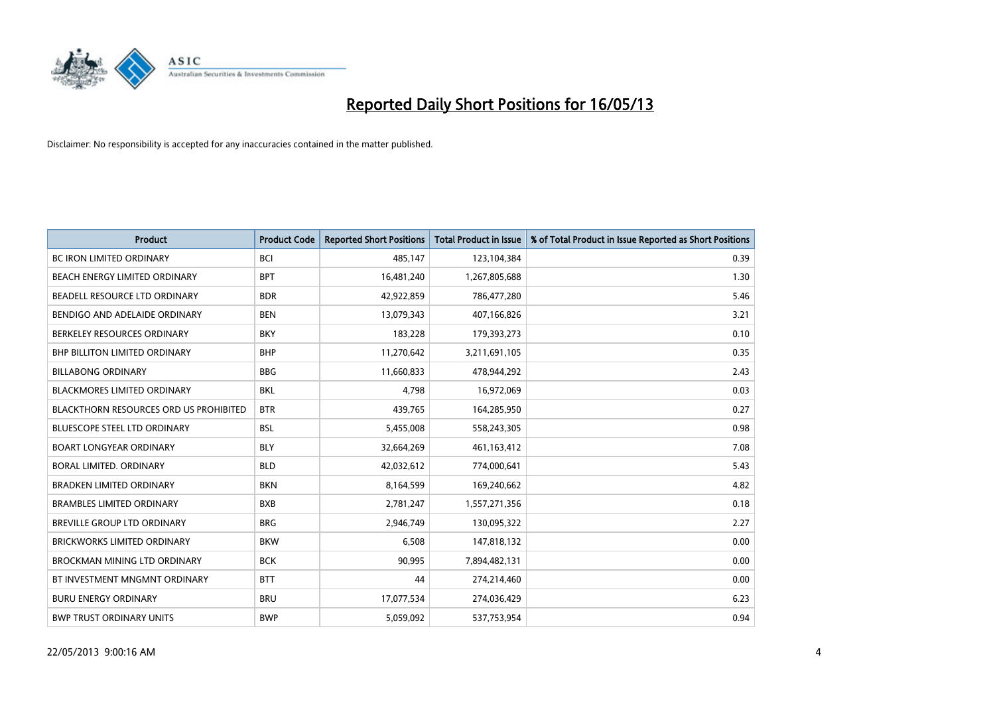

| <b>Product</b>                                | <b>Product Code</b> | <b>Reported Short Positions</b> | <b>Total Product in Issue</b> | % of Total Product in Issue Reported as Short Positions |
|-----------------------------------------------|---------------------|---------------------------------|-------------------------------|---------------------------------------------------------|
| <b>BC IRON LIMITED ORDINARY</b>               | <b>BCI</b>          | 485,147                         | 123,104,384                   | 0.39                                                    |
| BEACH ENERGY LIMITED ORDINARY                 | <b>BPT</b>          | 16,481,240                      | 1,267,805,688                 | 1.30                                                    |
| BEADELL RESOURCE LTD ORDINARY                 | <b>BDR</b>          | 42,922,859                      | 786,477,280                   | 5.46                                                    |
| BENDIGO AND ADELAIDE ORDINARY                 | <b>BEN</b>          | 13,079,343                      | 407,166,826                   | 3.21                                                    |
| BERKELEY RESOURCES ORDINARY                   | <b>BKY</b>          | 183,228                         | 179,393,273                   | 0.10                                                    |
| <b>BHP BILLITON LIMITED ORDINARY</b>          | <b>BHP</b>          | 11,270,642                      | 3,211,691,105                 | 0.35                                                    |
| <b>BILLABONG ORDINARY</b>                     | <b>BBG</b>          | 11,660,833                      | 478,944,292                   | 2.43                                                    |
| BLACKMORES LIMITED ORDINARY                   | <b>BKL</b>          | 4,798                           | 16,972,069                    | 0.03                                                    |
| <b>BLACKTHORN RESOURCES ORD US PROHIBITED</b> | <b>BTR</b>          | 439,765                         | 164,285,950                   | 0.27                                                    |
| <b>BLUESCOPE STEEL LTD ORDINARY</b>           | <b>BSL</b>          | 5,455,008                       | 558,243,305                   | 0.98                                                    |
| <b>BOART LONGYEAR ORDINARY</b>                | <b>BLY</b>          | 32,664,269                      | 461,163,412                   | 7.08                                                    |
| BORAL LIMITED, ORDINARY                       | <b>BLD</b>          | 42,032,612                      | 774,000,641                   | 5.43                                                    |
| <b>BRADKEN LIMITED ORDINARY</b>               | <b>BKN</b>          | 8,164,599                       | 169,240,662                   | 4.82                                                    |
| <b>BRAMBLES LIMITED ORDINARY</b>              | <b>BXB</b>          | 2,781,247                       | 1,557,271,356                 | 0.18                                                    |
| <b>BREVILLE GROUP LTD ORDINARY</b>            | <b>BRG</b>          | 2,946,749                       | 130,095,322                   | 2.27                                                    |
| BRICKWORKS LIMITED ORDINARY                   | <b>BKW</b>          | 6,508                           | 147,818,132                   | 0.00                                                    |
| <b>BROCKMAN MINING LTD ORDINARY</b>           | <b>BCK</b>          | 90,995                          | 7,894,482,131                 | 0.00                                                    |
| BT INVESTMENT MNGMNT ORDINARY                 | <b>BTT</b>          | 44                              | 274,214,460                   | 0.00                                                    |
| <b>BURU ENERGY ORDINARY</b>                   | <b>BRU</b>          | 17,077,534                      | 274,036,429                   | 6.23                                                    |
| <b>BWP TRUST ORDINARY UNITS</b>               | <b>BWP</b>          | 5,059,092                       | 537,753,954                   | 0.94                                                    |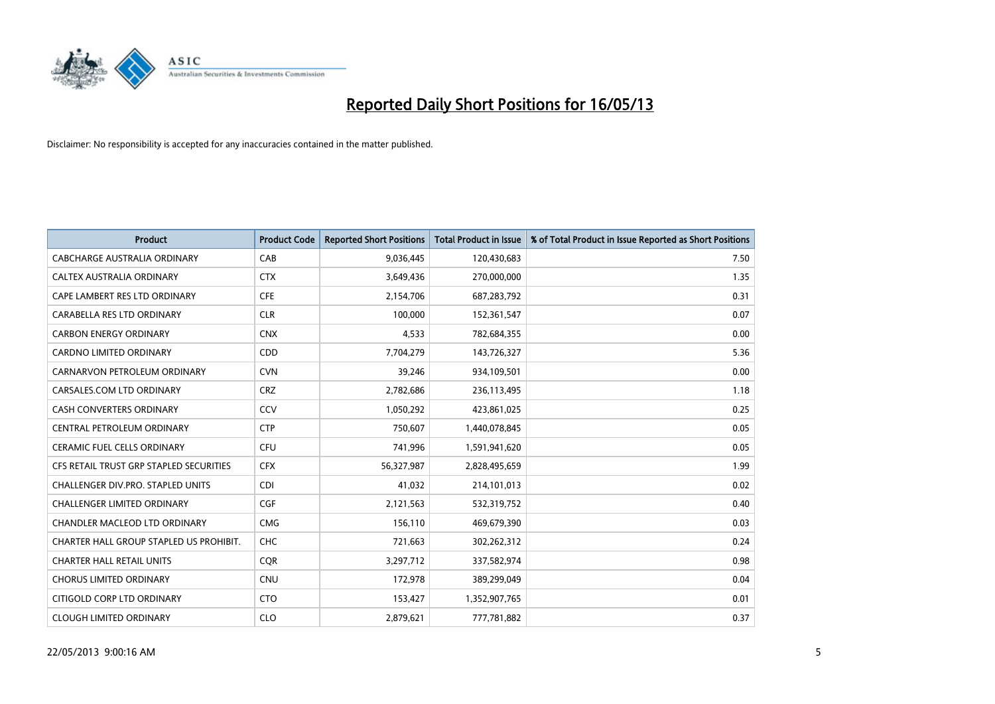

| <b>Product</b>                          | <b>Product Code</b> | <b>Reported Short Positions</b> | <b>Total Product in Issue</b> | % of Total Product in Issue Reported as Short Positions |
|-----------------------------------------|---------------------|---------------------------------|-------------------------------|---------------------------------------------------------|
| <b>CABCHARGE AUSTRALIA ORDINARY</b>     | CAB                 | 9,036,445                       | 120,430,683                   | 7.50                                                    |
| CALTEX AUSTRALIA ORDINARY               | <b>CTX</b>          | 3,649,436                       | 270,000,000                   | 1.35                                                    |
| CAPE LAMBERT RES LTD ORDINARY           | <b>CFE</b>          | 2,154,706                       | 687,283,792                   | 0.31                                                    |
| CARABELLA RES LTD ORDINARY              | <b>CLR</b>          | 100,000                         | 152,361,547                   | 0.07                                                    |
| <b>CARBON ENERGY ORDINARY</b>           | <b>CNX</b>          | 4,533                           | 782,684,355                   | 0.00                                                    |
| <b>CARDNO LIMITED ORDINARY</b>          | CDD                 | 7,704,279                       | 143,726,327                   | 5.36                                                    |
| CARNARVON PETROLEUM ORDINARY            | <b>CVN</b>          | 39,246                          | 934,109,501                   | 0.00                                                    |
| CARSALES.COM LTD ORDINARY               | <b>CRZ</b>          | 2,782,686                       | 236,113,495                   | 1.18                                                    |
| <b>CASH CONVERTERS ORDINARY</b>         | CCV                 | 1,050,292                       | 423,861,025                   | 0.25                                                    |
| CENTRAL PETROLEUM ORDINARY              | <b>CTP</b>          | 750,607                         | 1,440,078,845                 | 0.05                                                    |
| CERAMIC FUEL CELLS ORDINARY             | <b>CFU</b>          | 741,996                         | 1,591,941,620                 | 0.05                                                    |
| CFS RETAIL TRUST GRP STAPLED SECURITIES | <b>CFX</b>          | 56,327,987                      | 2,828,495,659                 | 1.99                                                    |
| CHALLENGER DIV.PRO. STAPLED UNITS       | <b>CDI</b>          | 41,032                          | 214,101,013                   | 0.02                                                    |
| <b>CHALLENGER LIMITED ORDINARY</b>      | <b>CGF</b>          | 2,121,563                       | 532,319,752                   | 0.40                                                    |
| CHANDLER MACLEOD LTD ORDINARY           | <b>CMG</b>          | 156,110                         | 469,679,390                   | 0.03                                                    |
| CHARTER HALL GROUP STAPLED US PROHIBIT. | <b>CHC</b>          | 721,663                         | 302,262,312                   | 0.24                                                    |
| <b>CHARTER HALL RETAIL UNITS</b>        | <b>COR</b>          | 3,297,712                       | 337,582,974                   | 0.98                                                    |
| <b>CHORUS LIMITED ORDINARY</b>          | <b>CNU</b>          | 172,978                         | 389,299,049                   | 0.04                                                    |
| CITIGOLD CORP LTD ORDINARY              | <b>CTO</b>          | 153,427                         | 1,352,907,765                 | 0.01                                                    |
| <b>CLOUGH LIMITED ORDINARY</b>          | <b>CLO</b>          | 2,879,621                       | 777,781,882                   | 0.37                                                    |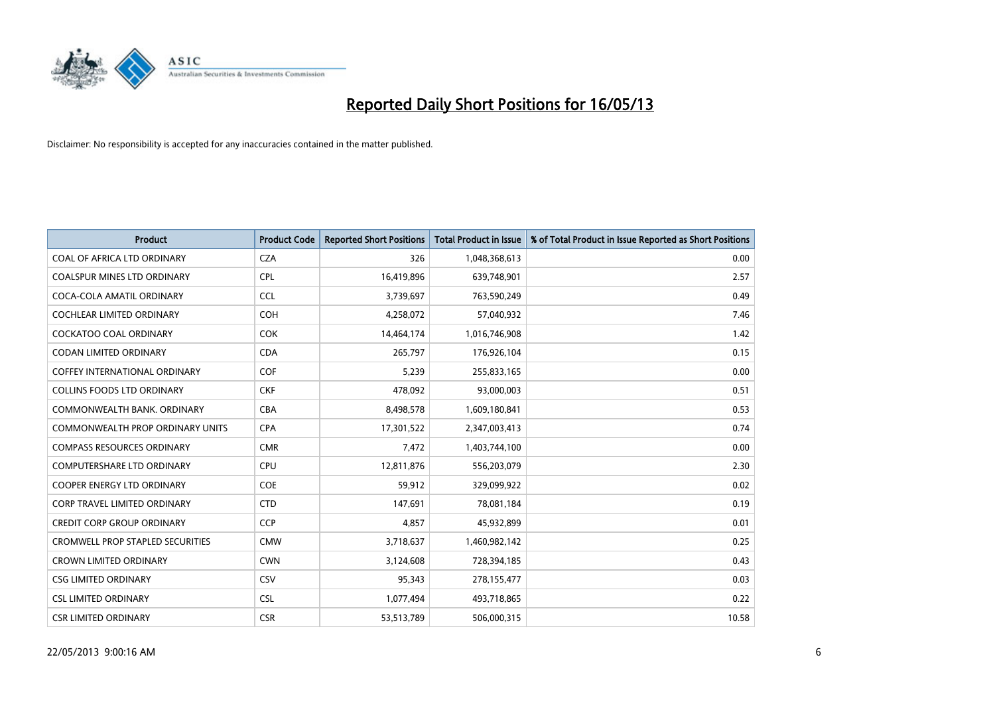

| <b>Product</b>                          | <b>Product Code</b> | <b>Reported Short Positions</b> | <b>Total Product in Issue</b> | % of Total Product in Issue Reported as Short Positions |
|-----------------------------------------|---------------------|---------------------------------|-------------------------------|---------------------------------------------------------|
| COAL OF AFRICA LTD ORDINARY             | <b>CZA</b>          | 326                             | 1,048,368,613                 | 0.00                                                    |
| <b>COALSPUR MINES LTD ORDINARY</b>      | <b>CPL</b>          | 16,419,896                      | 639,748,901                   | 2.57                                                    |
| COCA-COLA AMATIL ORDINARY               | <b>CCL</b>          | 3,739,697                       | 763,590,249                   | 0.49                                                    |
| COCHLEAR LIMITED ORDINARY               | <b>COH</b>          | 4,258,072                       | 57,040,932                    | 7.46                                                    |
| <b>COCKATOO COAL ORDINARY</b>           | <b>COK</b>          | 14,464,174                      | 1,016,746,908                 | 1.42                                                    |
| <b>CODAN LIMITED ORDINARY</b>           | <b>CDA</b>          | 265,797                         | 176,926,104                   | 0.15                                                    |
| <b>COFFEY INTERNATIONAL ORDINARY</b>    | <b>COF</b>          | 5.239                           | 255,833,165                   | 0.00                                                    |
| <b>COLLINS FOODS LTD ORDINARY</b>       | <b>CKF</b>          | 478,092                         | 93,000,003                    | 0.51                                                    |
| COMMONWEALTH BANK, ORDINARY             | <b>CBA</b>          | 8,498,578                       | 1,609,180,841                 | 0.53                                                    |
| <b>COMMONWEALTH PROP ORDINARY UNITS</b> | <b>CPA</b>          | 17,301,522                      | 2,347,003,413                 | 0.74                                                    |
| <b>COMPASS RESOURCES ORDINARY</b>       | <b>CMR</b>          | 7,472                           | 1,403,744,100                 | 0.00                                                    |
| <b>COMPUTERSHARE LTD ORDINARY</b>       | <b>CPU</b>          | 12,811,876                      | 556,203,079                   | 2.30                                                    |
| <b>COOPER ENERGY LTD ORDINARY</b>       | <b>COE</b>          | 59,912                          | 329,099,922                   | 0.02                                                    |
| <b>CORP TRAVEL LIMITED ORDINARY</b>     | <b>CTD</b>          | 147,691                         | 78,081,184                    | 0.19                                                    |
| <b>CREDIT CORP GROUP ORDINARY</b>       | <b>CCP</b>          | 4,857                           | 45,932,899                    | 0.01                                                    |
| <b>CROMWELL PROP STAPLED SECURITIES</b> | <b>CMW</b>          | 3,718,637                       | 1,460,982,142                 | 0.25                                                    |
| <b>CROWN LIMITED ORDINARY</b>           | <b>CWN</b>          | 3,124,608                       | 728,394,185                   | 0.43                                                    |
| <b>CSG LIMITED ORDINARY</b>             | CSV                 | 95,343                          | 278,155,477                   | 0.03                                                    |
| <b>CSL LIMITED ORDINARY</b>             | <b>CSL</b>          | 1,077,494                       | 493,718,865                   | 0.22                                                    |
| <b>CSR LIMITED ORDINARY</b>             | <b>CSR</b>          | 53,513,789                      | 506,000,315                   | 10.58                                                   |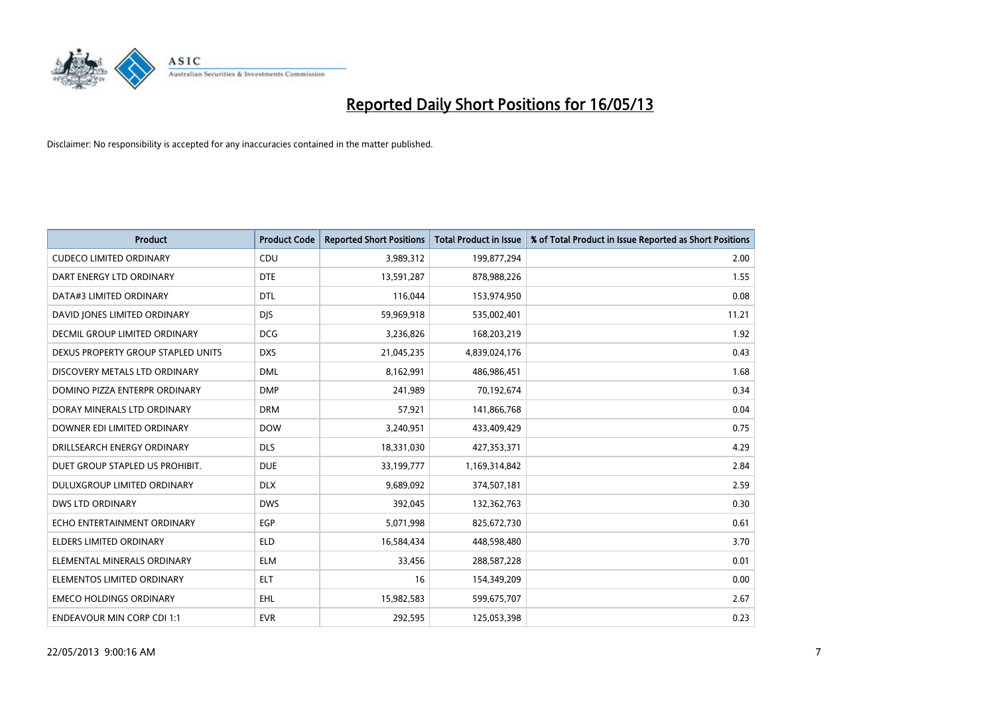

| <b>Product</b>                       | <b>Product Code</b> | <b>Reported Short Positions</b> | <b>Total Product in Issue</b> | % of Total Product in Issue Reported as Short Positions |
|--------------------------------------|---------------------|---------------------------------|-------------------------------|---------------------------------------------------------|
| <b>CUDECO LIMITED ORDINARY</b>       | CDU                 | 3,989,312                       | 199,877,294                   | 2.00                                                    |
| DART ENERGY LTD ORDINARY             | <b>DTE</b>          | 13,591,287                      | 878,988,226                   | 1.55                                                    |
| DATA#3 LIMITED ORDINARY              | <b>DTL</b>          | 116,044                         | 153,974,950                   | 0.08                                                    |
| DAVID JONES LIMITED ORDINARY         | <b>DJS</b>          | 59,969,918                      | 535,002,401                   | 11.21                                                   |
| <b>DECMIL GROUP LIMITED ORDINARY</b> | <b>DCG</b>          | 3,236,826                       | 168,203,219                   | 1.92                                                    |
| DEXUS PROPERTY GROUP STAPLED UNITS   | <b>DXS</b>          | 21,045,235                      | 4,839,024,176                 | 0.43                                                    |
| DISCOVERY METALS LTD ORDINARY        | <b>DML</b>          | 8,162,991                       | 486,986,451                   | 1.68                                                    |
| DOMINO PIZZA ENTERPR ORDINARY        | <b>DMP</b>          | 241,989                         | 70,192,674                    | 0.34                                                    |
| DORAY MINERALS LTD ORDINARY          | <b>DRM</b>          | 57,921                          | 141,866,768                   | 0.04                                                    |
| DOWNER EDI LIMITED ORDINARY          | <b>DOW</b>          | 3,240,951                       | 433,409,429                   | 0.75                                                    |
| DRILLSEARCH ENERGY ORDINARY          | <b>DLS</b>          | 18,331,030                      | 427,353,371                   | 4.29                                                    |
| DUET GROUP STAPLED US PROHIBIT.      | <b>DUE</b>          | 33,199,777                      | 1,169,314,842                 | 2.84                                                    |
| DULUXGROUP LIMITED ORDINARY          | <b>DLX</b>          | 9,689,092                       | 374,507,181                   | 2.59                                                    |
| <b>DWS LTD ORDINARY</b>              | <b>DWS</b>          | 392,045                         | 132,362,763                   | 0.30                                                    |
| ECHO ENTERTAINMENT ORDINARY          | EGP                 | 5,071,998                       | 825,672,730                   | 0.61                                                    |
| ELDERS LIMITED ORDINARY              | <b>ELD</b>          | 16,584,434                      | 448,598,480                   | 3.70                                                    |
| ELEMENTAL MINERALS ORDINARY          | <b>ELM</b>          | 33,456                          | 288,587,228                   | 0.01                                                    |
| ELEMENTOS LIMITED ORDINARY           | <b>ELT</b>          | 16                              | 154,349,209                   | 0.00                                                    |
| <b>EMECO HOLDINGS ORDINARY</b>       | <b>EHL</b>          | 15,982,583                      | 599,675,707                   | 2.67                                                    |
| <b>ENDEAVOUR MIN CORP CDI 1:1</b>    | <b>EVR</b>          | 292,595                         | 125,053,398                   | 0.23                                                    |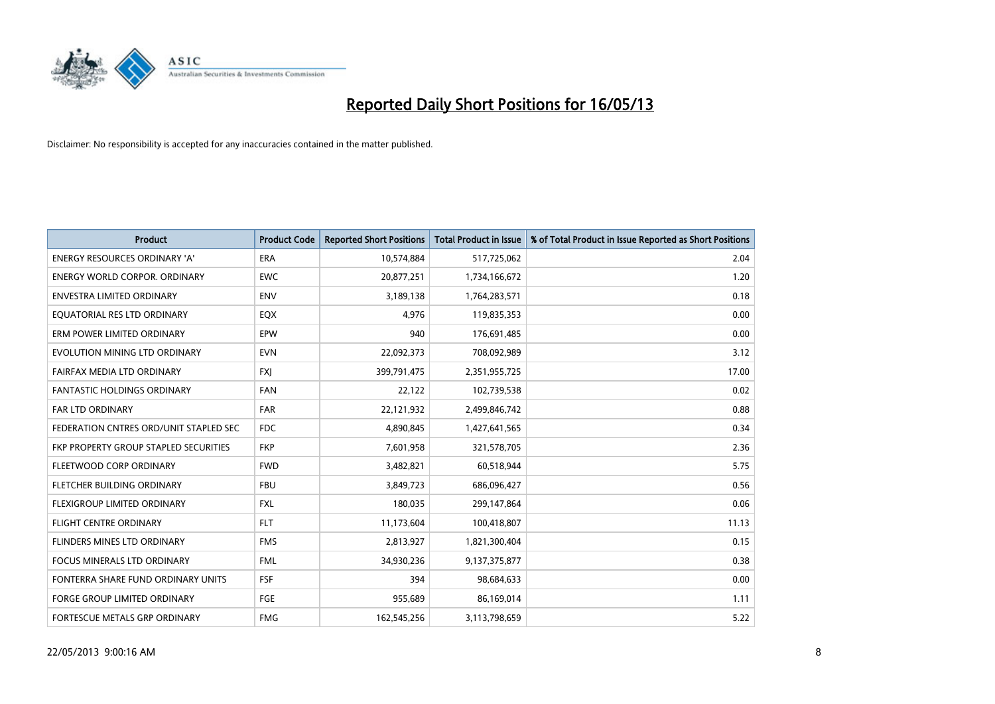

| <b>Product</b>                         | <b>Product Code</b> | <b>Reported Short Positions</b> | <b>Total Product in Issue</b> | % of Total Product in Issue Reported as Short Positions |
|----------------------------------------|---------------------|---------------------------------|-------------------------------|---------------------------------------------------------|
| <b>ENERGY RESOURCES ORDINARY 'A'</b>   | <b>ERA</b>          | 10,574,884                      | 517,725,062                   | 2.04                                                    |
| <b>ENERGY WORLD CORPOR, ORDINARY</b>   | <b>EWC</b>          | 20,877,251                      | 1,734,166,672                 | 1.20                                                    |
| <b>ENVESTRA LIMITED ORDINARY</b>       | <b>ENV</b>          | 3,189,138                       | 1,764,283,571                 | 0.18                                                    |
| EQUATORIAL RES LTD ORDINARY            | <b>EQX</b>          | 4,976                           | 119,835,353                   | 0.00                                                    |
| ERM POWER LIMITED ORDINARY             | EPW                 | 940                             | 176,691,485                   | 0.00                                                    |
| EVOLUTION MINING LTD ORDINARY          | <b>EVN</b>          | 22,092,373                      | 708,092,989                   | 3.12                                                    |
| FAIRFAX MEDIA LTD ORDINARY             | <b>FXI</b>          | 399,791,475                     | 2,351,955,725                 | 17.00                                                   |
| <b>FANTASTIC HOLDINGS ORDINARY</b>     | <b>FAN</b>          | 22,122                          | 102,739,538                   | 0.02                                                    |
| <b>FAR LTD ORDINARY</b>                | <b>FAR</b>          | 22,121,932                      | 2,499,846,742                 | 0.88                                                    |
| FEDERATION CNTRES ORD/UNIT STAPLED SEC | <b>FDC</b>          | 4,890,845                       | 1,427,641,565                 | 0.34                                                    |
| FKP PROPERTY GROUP STAPLED SECURITIES  | <b>FKP</b>          | 7,601,958                       | 321,578,705                   | 2.36                                                    |
| FLEETWOOD CORP ORDINARY                | <b>FWD</b>          | 3,482,821                       | 60,518,944                    | 5.75                                                    |
| FLETCHER BUILDING ORDINARY             | <b>FBU</b>          | 3,849,723                       | 686,096,427                   | 0.56                                                    |
| <b>FLEXIGROUP LIMITED ORDINARY</b>     | <b>FXL</b>          | 180.035                         | 299,147,864                   | 0.06                                                    |
| <b>FLIGHT CENTRE ORDINARY</b>          | FLT.                | 11,173,604                      | 100,418,807                   | 11.13                                                   |
| FLINDERS MINES LTD ORDINARY            | <b>FMS</b>          | 2,813,927                       | 1,821,300,404                 | 0.15                                                    |
| <b>FOCUS MINERALS LTD ORDINARY</b>     | <b>FML</b>          | 34,930,236                      | 9,137,375,877                 | 0.38                                                    |
| FONTERRA SHARE FUND ORDINARY UNITS     | <b>FSF</b>          | 394                             | 98,684,633                    | 0.00                                                    |
| <b>FORGE GROUP LIMITED ORDINARY</b>    | FGE                 | 955,689                         | 86,169,014                    | 1.11                                                    |
| <b>FORTESCUE METALS GRP ORDINARY</b>   | <b>FMG</b>          | 162,545,256                     | 3,113,798,659                 | 5.22                                                    |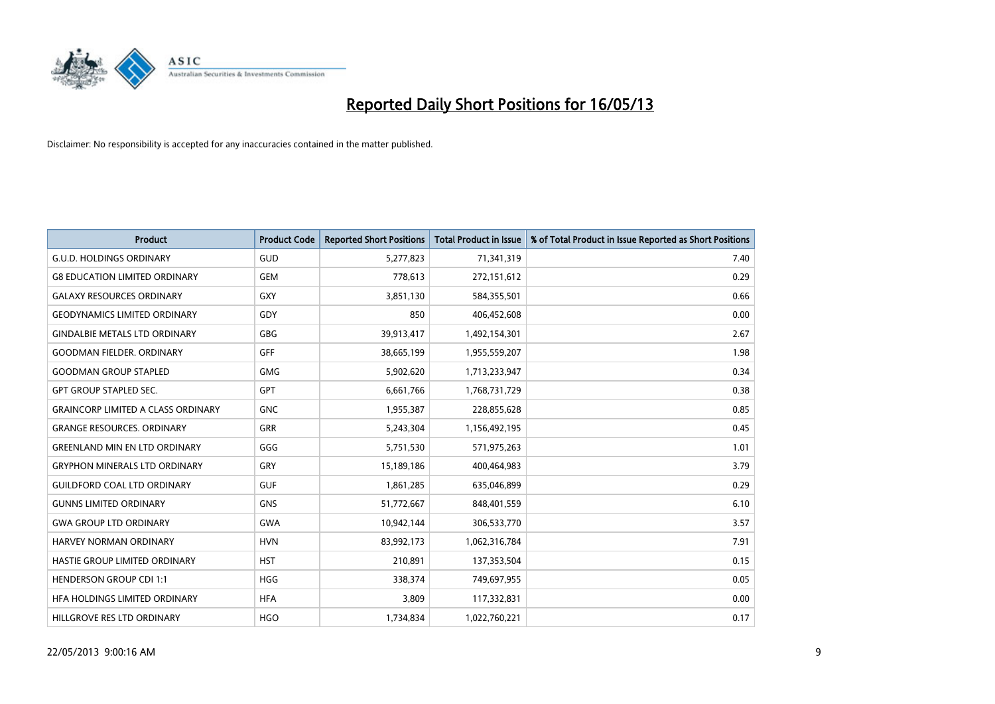

| <b>Product</b>                            | <b>Product Code</b> | <b>Reported Short Positions</b> | <b>Total Product in Issue</b> | % of Total Product in Issue Reported as Short Positions |
|-------------------------------------------|---------------------|---------------------------------|-------------------------------|---------------------------------------------------------|
| <b>G.U.D. HOLDINGS ORDINARY</b>           | <b>GUD</b>          | 5,277,823                       | 71,341,319                    | 7.40                                                    |
| <b>G8 EDUCATION LIMITED ORDINARY</b>      | <b>GEM</b>          | 778,613                         | 272,151,612                   | 0.29                                                    |
| <b>GALAXY RESOURCES ORDINARY</b>          | <b>GXY</b>          | 3,851,130                       | 584,355,501                   | 0.66                                                    |
| <b>GEODYNAMICS LIMITED ORDINARY</b>       | GDY                 | 850                             | 406,452,608                   | 0.00                                                    |
| <b>GINDALBIE METALS LTD ORDINARY</b>      | <b>GBG</b>          | 39,913,417                      | 1,492,154,301                 | 2.67                                                    |
| <b>GOODMAN FIELDER, ORDINARY</b>          | GFF                 | 38,665,199                      | 1,955,559,207                 | 1.98                                                    |
| <b>GOODMAN GROUP STAPLED</b>              | <b>GMG</b>          | 5,902,620                       | 1,713,233,947                 | 0.34                                                    |
| <b>GPT GROUP STAPLED SEC.</b>             | <b>GPT</b>          | 6,661,766                       | 1,768,731,729                 | 0.38                                                    |
| <b>GRAINCORP LIMITED A CLASS ORDINARY</b> | <b>GNC</b>          | 1,955,387                       | 228,855,628                   | 0.85                                                    |
| <b>GRANGE RESOURCES, ORDINARY</b>         | <b>GRR</b>          | 5,243,304                       | 1,156,492,195                 | 0.45                                                    |
| <b>GREENLAND MIN EN LTD ORDINARY</b>      | GGG                 | 5,751,530                       | 571,975,263                   | 1.01                                                    |
| <b>GRYPHON MINERALS LTD ORDINARY</b>      | GRY                 | 15,189,186                      | 400,464,983                   | 3.79                                                    |
| <b>GUILDFORD COAL LTD ORDINARY</b>        | <b>GUF</b>          | 1,861,285                       | 635,046,899                   | 0.29                                                    |
| <b>GUNNS LIMITED ORDINARY</b>             | <b>GNS</b>          | 51,772,667                      | 848,401,559                   | 6.10                                                    |
| <b>GWA GROUP LTD ORDINARY</b>             | <b>GWA</b>          | 10,942,144                      | 306,533,770                   | 3.57                                                    |
| HARVEY NORMAN ORDINARY                    | <b>HVN</b>          | 83,992,173                      | 1,062,316,784                 | 7.91                                                    |
| HASTIE GROUP LIMITED ORDINARY             | <b>HST</b>          | 210,891                         | 137,353,504                   | 0.15                                                    |
| <b>HENDERSON GROUP CDI 1:1</b>            | <b>HGG</b>          | 338,374                         | 749,697,955                   | 0.05                                                    |
| HFA HOLDINGS LIMITED ORDINARY             | <b>HFA</b>          | 3,809                           | 117,332,831                   | 0.00                                                    |
| HILLGROVE RES LTD ORDINARY                | <b>HGO</b>          | 1,734,834                       | 1,022,760,221                 | 0.17                                                    |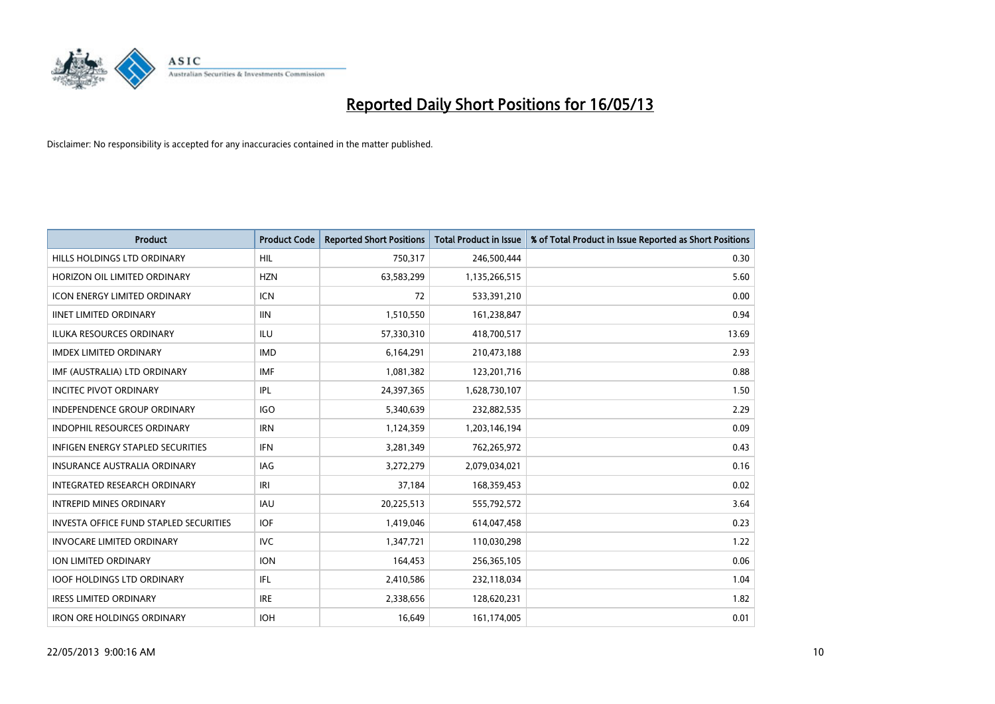

| <b>Product</b>                                | <b>Product Code</b> | <b>Reported Short Positions</b> | <b>Total Product in Issue</b> | % of Total Product in Issue Reported as Short Positions |
|-----------------------------------------------|---------------------|---------------------------------|-------------------------------|---------------------------------------------------------|
| HILLS HOLDINGS LTD ORDINARY                   | <b>HIL</b>          | 750,317                         | 246,500,444                   | 0.30                                                    |
| HORIZON OIL LIMITED ORDINARY                  | <b>HZN</b>          | 63,583,299                      | 1,135,266,515                 | 5.60                                                    |
| <b>ICON ENERGY LIMITED ORDINARY</b>           | <b>ICN</b>          | 72                              | 533,391,210                   | 0.00                                                    |
| <b>IINET LIMITED ORDINARY</b>                 | <b>IIN</b>          | 1,510,550                       | 161,238,847                   | 0.94                                                    |
| <b>ILUKA RESOURCES ORDINARY</b>               | ILU                 | 57,330,310                      | 418,700,517                   | 13.69                                                   |
| <b>IMDEX LIMITED ORDINARY</b>                 | <b>IMD</b>          | 6,164,291                       | 210,473,188                   | 2.93                                                    |
| IMF (AUSTRALIA) LTD ORDINARY                  | <b>IMF</b>          | 1,081,382                       | 123,201,716                   | 0.88                                                    |
| <b>INCITEC PIVOT ORDINARY</b>                 | IPL                 | 24,397,365                      | 1,628,730,107                 | 1.50                                                    |
| INDEPENDENCE GROUP ORDINARY                   | <b>IGO</b>          | 5,340,639                       | 232,882,535                   | 2.29                                                    |
| <b>INDOPHIL RESOURCES ORDINARY</b>            | <b>IRN</b>          | 1,124,359                       | 1,203,146,194                 | 0.09                                                    |
| <b>INFIGEN ENERGY STAPLED SECURITIES</b>      | <b>IFN</b>          | 3,281,349                       | 762,265,972                   | 0.43                                                    |
| <b>INSURANCE AUSTRALIA ORDINARY</b>           | IAG                 | 3,272,279                       | 2,079,034,021                 | 0.16                                                    |
| <b>INTEGRATED RESEARCH ORDINARY</b>           | IRI                 | 37,184                          | 168,359,453                   | 0.02                                                    |
| <b>INTREPID MINES ORDINARY</b>                | <b>IAU</b>          | 20,225,513                      | 555,792,572                   | 3.64                                                    |
| <b>INVESTA OFFICE FUND STAPLED SECURITIES</b> | <b>IOF</b>          | 1,419,046                       | 614,047,458                   | 0.23                                                    |
| <b>INVOCARE LIMITED ORDINARY</b>              | <b>IVC</b>          | 1,347,721                       | 110,030,298                   | 1.22                                                    |
| ION LIMITED ORDINARY                          | <b>ION</b>          | 164,453                         | 256,365,105                   | 0.06                                                    |
| <b>IOOF HOLDINGS LTD ORDINARY</b>             | IFL.                | 2,410,586                       | 232,118,034                   | 1.04                                                    |
| <b>IRESS LIMITED ORDINARY</b>                 | <b>IRE</b>          | 2,338,656                       | 128,620,231                   | 1.82                                                    |
| <b>IRON ORE HOLDINGS ORDINARY</b>             | <b>IOH</b>          | 16.649                          | 161,174,005                   | 0.01                                                    |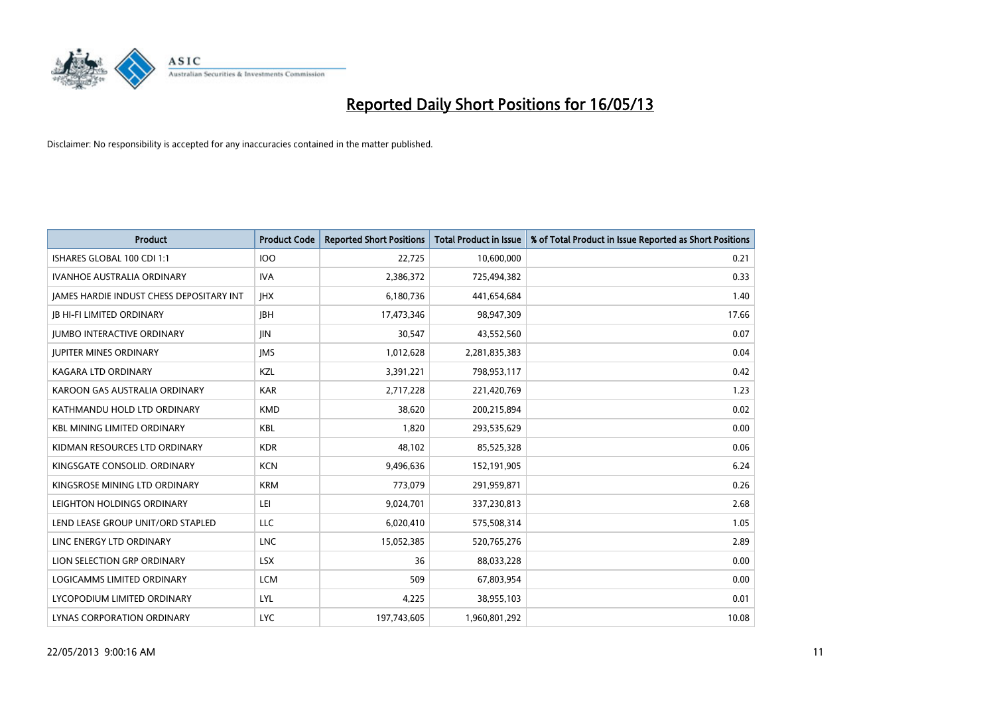

| <b>Product</b>                           | <b>Product Code</b> | <b>Reported Short Positions</b> | <b>Total Product in Issue</b> | % of Total Product in Issue Reported as Short Positions |
|------------------------------------------|---------------------|---------------------------------|-------------------------------|---------------------------------------------------------|
| ISHARES GLOBAL 100 CDI 1:1               | 100                 | 22,725                          | 10,600,000                    | 0.21                                                    |
| IVANHOE AUSTRALIA ORDINARY               | <b>IVA</b>          | 2,386,372                       | 725,494,382                   | 0.33                                                    |
| JAMES HARDIE INDUST CHESS DEPOSITARY INT | <b>IHX</b>          | 6,180,736                       | 441,654,684                   | 1.40                                                    |
| <b>JB HI-FI LIMITED ORDINARY</b>         | <b>IBH</b>          | 17,473,346                      | 98,947,309                    | 17.66                                                   |
| <b>IUMBO INTERACTIVE ORDINARY</b>        | <b>JIN</b>          | 30,547                          | 43,552,560                    | 0.07                                                    |
| <b>JUPITER MINES ORDINARY</b>            | <b>IMS</b>          | 1,012,628                       | 2,281,835,383                 | 0.04                                                    |
| <b>KAGARA LTD ORDINARY</b>               | KZL                 | 3,391,221                       | 798,953,117                   | 0.42                                                    |
| KAROON GAS AUSTRALIA ORDINARY            | <b>KAR</b>          | 2,717,228                       | 221,420,769                   | 1.23                                                    |
| KATHMANDU HOLD LTD ORDINARY              | <b>KMD</b>          | 38,620                          | 200,215,894                   | 0.02                                                    |
| <b>KBL MINING LIMITED ORDINARY</b>       | <b>KBL</b>          | 1,820                           | 293,535,629                   | 0.00                                                    |
| KIDMAN RESOURCES LTD ORDINARY            | <b>KDR</b>          | 48,102                          | 85,525,328                    | 0.06                                                    |
| KINGSGATE CONSOLID, ORDINARY             | <b>KCN</b>          | 9,496,636                       | 152,191,905                   | 6.24                                                    |
| KINGSROSE MINING LTD ORDINARY            | <b>KRM</b>          | 773,079                         | 291,959,871                   | 0.26                                                    |
| LEIGHTON HOLDINGS ORDINARY               | LEI                 | 9,024,701                       | 337,230,813                   | 2.68                                                    |
| LEND LEASE GROUP UNIT/ORD STAPLED        | <b>LLC</b>          | 6,020,410                       | 575,508,314                   | 1.05                                                    |
| LINC ENERGY LTD ORDINARY                 | <b>LNC</b>          | 15,052,385                      | 520,765,276                   | 2.89                                                    |
| LION SELECTION GRP ORDINARY              | <b>LSX</b>          | 36                              | 88,033,228                    | 0.00                                                    |
| LOGICAMMS LIMITED ORDINARY               | <b>LCM</b>          | 509                             | 67,803,954                    | 0.00                                                    |
| LYCOPODIUM LIMITED ORDINARY              | LYL                 | 4,225                           | 38,955,103                    | 0.01                                                    |
| LYNAS CORPORATION ORDINARY               | <b>LYC</b>          | 197,743,605                     | 1,960,801,292                 | 10.08                                                   |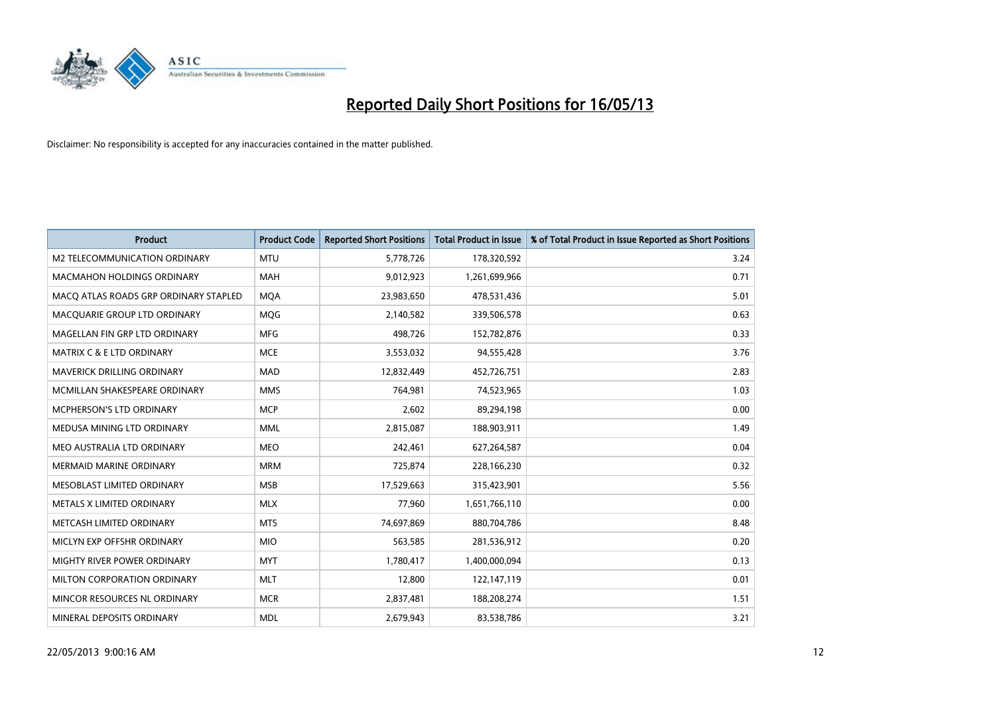

| <b>Product</b>                        | <b>Product Code</b> | <b>Reported Short Positions</b> | <b>Total Product in Issue</b> | % of Total Product in Issue Reported as Short Positions |
|---------------------------------------|---------------------|---------------------------------|-------------------------------|---------------------------------------------------------|
| M2 TELECOMMUNICATION ORDINARY         | <b>MTU</b>          | 5,778,726                       | 178,320,592                   | 3.24                                                    |
| <b>MACMAHON HOLDINGS ORDINARY</b>     | <b>MAH</b>          | 9,012,923                       | 1,261,699,966                 | 0.71                                                    |
| MACO ATLAS ROADS GRP ORDINARY STAPLED | <b>MOA</b>          | 23,983,650                      | 478,531,436                   | 5.01                                                    |
| MACQUARIE GROUP LTD ORDINARY          | MQG                 | 2,140,582                       | 339,506,578                   | 0.63                                                    |
| MAGELLAN FIN GRP LTD ORDINARY         | <b>MFG</b>          | 498,726                         | 152,782,876                   | 0.33                                                    |
| <b>MATRIX C &amp; E LTD ORDINARY</b>  | <b>MCE</b>          | 3,553,032                       | 94,555,428                    | 3.76                                                    |
| <b>MAVERICK DRILLING ORDINARY</b>     | <b>MAD</b>          | 12,832,449                      | 452,726,751                   | 2.83                                                    |
| MCMILLAN SHAKESPEARE ORDINARY         | <b>MMS</b>          | 764,981                         | 74,523,965                    | 1.03                                                    |
| <b>MCPHERSON'S LTD ORDINARY</b>       | <b>MCP</b>          | 2,602                           | 89,294,198                    | 0.00                                                    |
| MEDUSA MINING LTD ORDINARY            | <b>MML</b>          | 2,815,087                       | 188,903,911                   | 1.49                                                    |
| MEO AUSTRALIA LTD ORDINARY            | <b>MEO</b>          | 242,461                         | 627,264,587                   | 0.04                                                    |
| <b>MERMAID MARINE ORDINARY</b>        | <b>MRM</b>          | 725,874                         | 228,166,230                   | 0.32                                                    |
| MESOBLAST LIMITED ORDINARY            | <b>MSB</b>          | 17,529,663                      | 315,423,901                   | 5.56                                                    |
| METALS X LIMITED ORDINARY             | <b>MLX</b>          | 77,960                          | 1,651,766,110                 | 0.00                                                    |
| METCASH LIMITED ORDINARY              | <b>MTS</b>          | 74,697,869                      | 880,704,786                   | 8.48                                                    |
| MICLYN EXP OFFSHR ORDINARY            | <b>MIO</b>          | 563,585                         | 281,536,912                   | 0.20                                                    |
| MIGHTY RIVER POWER ORDINARY           | <b>MYT</b>          | 1,780,417                       | 1,400,000,094                 | 0.13                                                    |
| MILTON CORPORATION ORDINARY           | <b>MLT</b>          | 12,800                          | 122,147,119                   | 0.01                                                    |
| MINCOR RESOURCES NL ORDINARY          | <b>MCR</b>          | 2,837,481                       | 188,208,274                   | 1.51                                                    |
| MINERAL DEPOSITS ORDINARY             | <b>MDL</b>          | 2,679,943                       | 83,538,786                    | 3.21                                                    |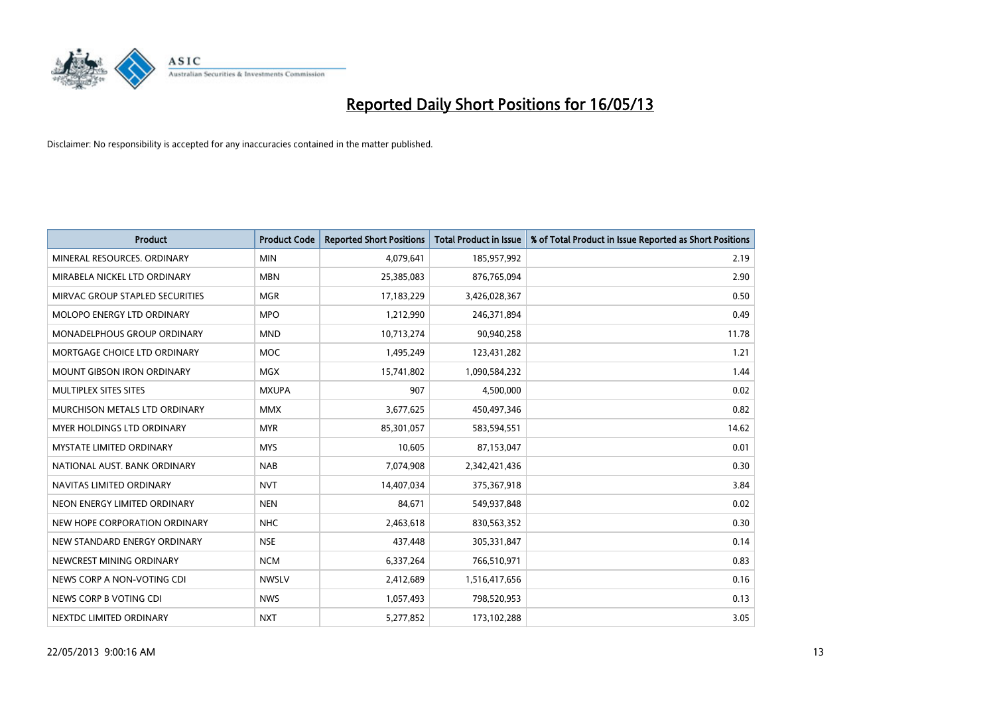

| <b>Product</b>                       | <b>Product Code</b> | <b>Reported Short Positions</b> | <b>Total Product in Issue</b> | % of Total Product in Issue Reported as Short Positions |
|--------------------------------------|---------------------|---------------------------------|-------------------------------|---------------------------------------------------------|
| MINERAL RESOURCES, ORDINARY          | <b>MIN</b>          | 4,079,641                       | 185,957,992                   | 2.19                                                    |
| MIRABELA NICKEL LTD ORDINARY         | <b>MBN</b>          | 25,385,083                      | 876,765,094                   | 2.90                                                    |
| MIRVAC GROUP STAPLED SECURITIES      | <b>MGR</b>          | 17,183,229                      | 3,426,028,367                 | 0.50                                                    |
| MOLOPO ENERGY LTD ORDINARY           | <b>MPO</b>          | 1,212,990                       | 246,371,894                   | 0.49                                                    |
| <b>MONADELPHOUS GROUP ORDINARY</b>   | <b>MND</b>          | 10,713,274                      | 90,940,258                    | 11.78                                                   |
| MORTGAGE CHOICE LTD ORDINARY         | <b>MOC</b>          | 1,495,249                       | 123,431,282                   | 1.21                                                    |
| <b>MOUNT GIBSON IRON ORDINARY</b>    | <b>MGX</b>          | 15,741,802                      | 1,090,584,232                 | 1.44                                                    |
| MULTIPLEX SITES SITES                | <b>MXUPA</b>        | 907                             | 4,500,000                     | 0.02                                                    |
| <b>MURCHISON METALS LTD ORDINARY</b> | <b>MMX</b>          | 3,677,625                       | 450,497,346                   | 0.82                                                    |
| <b>MYER HOLDINGS LTD ORDINARY</b>    | <b>MYR</b>          | 85,301,057                      | 583,594,551                   | 14.62                                                   |
| MYSTATE LIMITED ORDINARY             | <b>MYS</b>          | 10,605                          | 87,153,047                    | 0.01                                                    |
| NATIONAL AUST, BANK ORDINARY         | <b>NAB</b>          | 7,074,908                       | 2,342,421,436                 | 0.30                                                    |
| NAVITAS LIMITED ORDINARY             | <b>NVT</b>          | 14,407,034                      | 375,367,918                   | 3.84                                                    |
| NEON ENERGY LIMITED ORDINARY         | <b>NEN</b>          | 84,671                          | 549,937,848                   | 0.02                                                    |
| NEW HOPE CORPORATION ORDINARY        | <b>NHC</b>          | 2,463,618                       | 830,563,352                   | 0.30                                                    |
| NEW STANDARD ENERGY ORDINARY         | <b>NSE</b>          | 437,448                         | 305,331,847                   | 0.14                                                    |
| NEWCREST MINING ORDINARY             | <b>NCM</b>          | 6,337,264                       | 766,510,971                   | 0.83                                                    |
| NEWS CORP A NON-VOTING CDI           | <b>NWSLV</b>        | 2,412,689                       | 1,516,417,656                 | 0.16                                                    |
| NEWS CORP B VOTING CDI               | <b>NWS</b>          | 1,057,493                       | 798,520,953                   | 0.13                                                    |
| NEXTDC LIMITED ORDINARY              | <b>NXT</b>          | 5,277,852                       | 173,102,288                   | 3.05                                                    |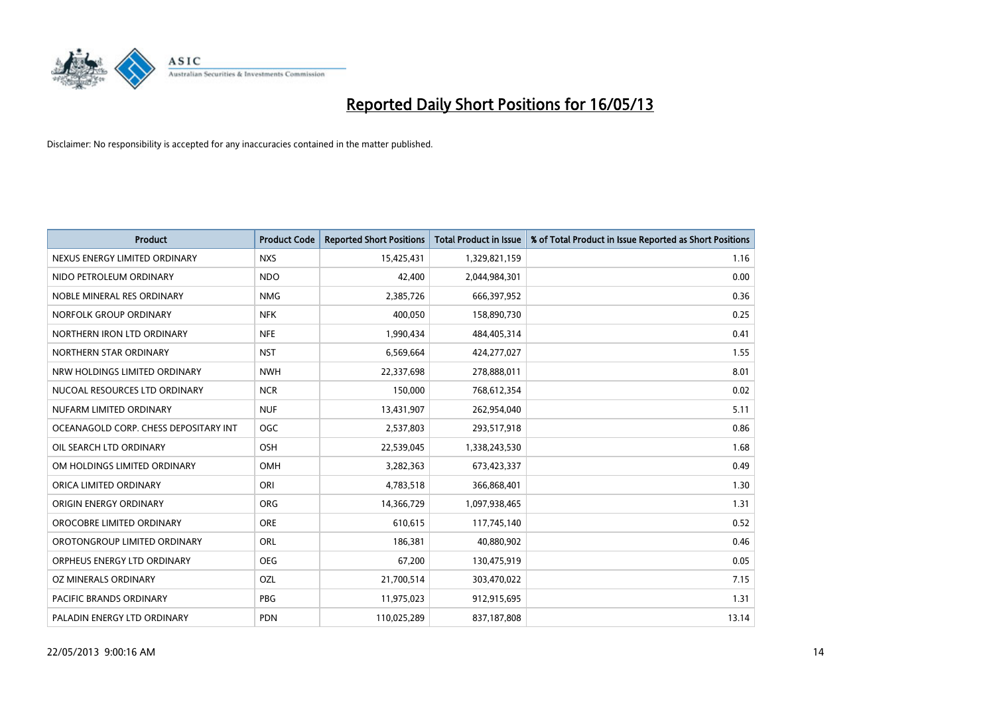

| <b>Product</b>                        | <b>Product Code</b> | <b>Reported Short Positions</b> | <b>Total Product in Issue</b> | % of Total Product in Issue Reported as Short Positions |
|---------------------------------------|---------------------|---------------------------------|-------------------------------|---------------------------------------------------------|
| NEXUS ENERGY LIMITED ORDINARY         | <b>NXS</b>          | 15,425,431                      | 1,329,821,159                 | 1.16                                                    |
| NIDO PETROLEUM ORDINARY               | <b>NDO</b>          | 42,400                          | 2,044,984,301                 | 0.00                                                    |
| NOBLE MINERAL RES ORDINARY            | <b>NMG</b>          | 2,385,726                       | 666,397,952                   | 0.36                                                    |
| NORFOLK GROUP ORDINARY                | <b>NFK</b>          | 400,050                         | 158,890,730                   | 0.25                                                    |
| NORTHERN IRON LTD ORDINARY            | <b>NFE</b>          | 1,990,434                       | 484,405,314                   | 0.41                                                    |
| NORTHERN STAR ORDINARY                | <b>NST</b>          | 6,569,664                       | 424,277,027                   | 1.55                                                    |
| NRW HOLDINGS LIMITED ORDINARY         | <b>NWH</b>          | 22,337,698                      | 278,888,011                   | 8.01                                                    |
| NUCOAL RESOURCES LTD ORDINARY         | <b>NCR</b>          | 150,000                         | 768,612,354                   | 0.02                                                    |
| NUFARM LIMITED ORDINARY               | <b>NUF</b>          | 13,431,907                      | 262,954,040                   | 5.11                                                    |
| OCEANAGOLD CORP. CHESS DEPOSITARY INT | <b>OGC</b>          | 2,537,803                       | 293,517,918                   | 0.86                                                    |
| OIL SEARCH LTD ORDINARY               | <b>OSH</b>          | 22,539,045                      | 1,338,243,530                 | 1.68                                                    |
| OM HOLDINGS LIMITED ORDINARY          | <b>OMH</b>          | 3,282,363                       | 673,423,337                   | 0.49                                                    |
| ORICA LIMITED ORDINARY                | ORI                 | 4,783,518                       | 366,868,401                   | 1.30                                                    |
| <b>ORIGIN ENERGY ORDINARY</b>         | <b>ORG</b>          | 14,366,729                      | 1,097,938,465                 | 1.31                                                    |
| OROCOBRE LIMITED ORDINARY             | <b>ORE</b>          | 610,615                         | 117,745,140                   | 0.52                                                    |
| OROTONGROUP LIMITED ORDINARY          | ORL                 | 186,381                         | 40,880,902                    | 0.46                                                    |
| ORPHEUS ENERGY LTD ORDINARY           | <b>OEG</b>          | 67,200                          | 130,475,919                   | 0.05                                                    |
| OZ MINERALS ORDINARY                  | OZL                 | 21,700,514                      | 303,470,022                   | 7.15                                                    |
| <b>PACIFIC BRANDS ORDINARY</b>        | <b>PBG</b>          | 11,975,023                      | 912,915,695                   | 1.31                                                    |
| PALADIN ENERGY LTD ORDINARY           | <b>PDN</b>          | 110,025,289                     | 837,187,808                   | 13.14                                                   |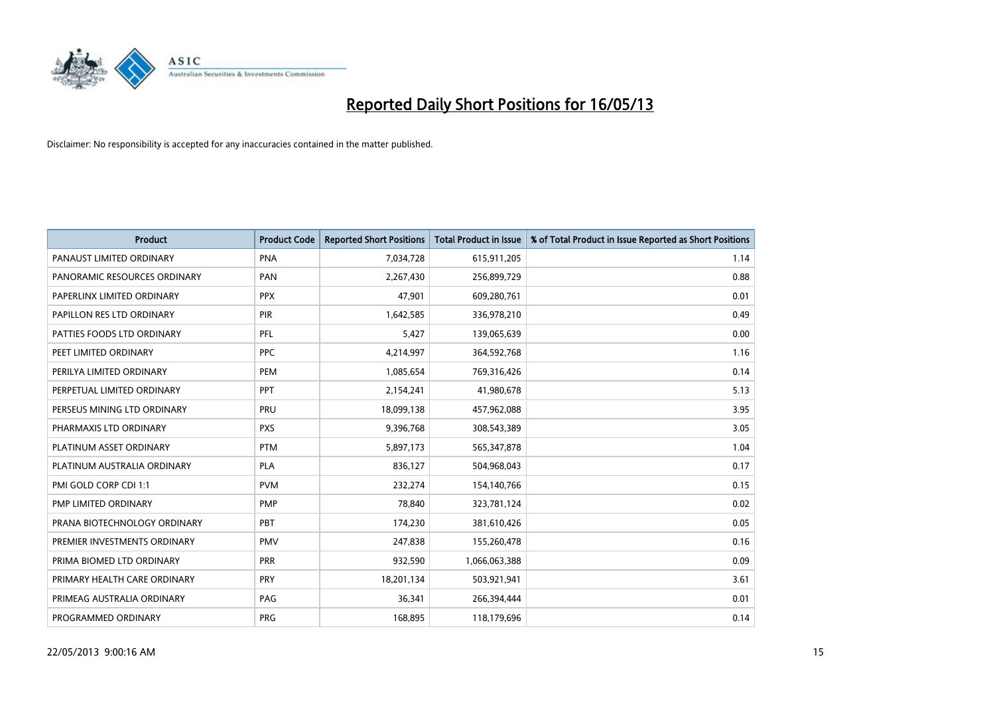

| <b>Product</b>               | <b>Product Code</b> | <b>Reported Short Positions</b> | <b>Total Product in Issue</b> | % of Total Product in Issue Reported as Short Positions |
|------------------------------|---------------------|---------------------------------|-------------------------------|---------------------------------------------------------|
| PANAUST LIMITED ORDINARY     | <b>PNA</b>          | 7,034,728                       | 615,911,205                   | 1.14                                                    |
| PANORAMIC RESOURCES ORDINARY | PAN                 | 2,267,430                       | 256,899,729                   | 0.88                                                    |
| PAPERLINX LIMITED ORDINARY   | <b>PPX</b>          | 47,901                          | 609,280,761                   | 0.01                                                    |
| PAPILLON RES LTD ORDINARY    | <b>PIR</b>          | 1,642,585                       | 336,978,210                   | 0.49                                                    |
| PATTIES FOODS LTD ORDINARY   | PFL                 | 5,427                           | 139,065,639                   | 0.00                                                    |
| PEET LIMITED ORDINARY        | <b>PPC</b>          | 4,214,997                       | 364,592,768                   | 1.16                                                    |
| PERILYA LIMITED ORDINARY     | PEM                 | 1,085,654                       | 769,316,426                   | 0.14                                                    |
| PERPETUAL LIMITED ORDINARY   | PPT                 | 2,154,241                       | 41,980,678                    | 5.13                                                    |
| PERSEUS MINING LTD ORDINARY  | PRU                 | 18,099,138                      | 457,962,088                   | 3.95                                                    |
| PHARMAXIS LTD ORDINARY       | <b>PXS</b>          | 9,396,768                       | 308,543,389                   | 3.05                                                    |
| PLATINUM ASSET ORDINARY      | <b>PTM</b>          | 5,897,173                       | 565,347,878                   | 1.04                                                    |
| PLATINUM AUSTRALIA ORDINARY  | <b>PLA</b>          | 836,127                         | 504,968,043                   | 0.17                                                    |
| PMI GOLD CORP CDI 1:1        | <b>PVM</b>          | 232,274                         | 154,140,766                   | 0.15                                                    |
| PMP LIMITED ORDINARY         | <b>PMP</b>          | 78,840                          | 323,781,124                   | 0.02                                                    |
| PRANA BIOTECHNOLOGY ORDINARY | PBT                 | 174,230                         | 381,610,426                   | 0.05                                                    |
| PREMIER INVESTMENTS ORDINARY | <b>PMV</b>          | 247,838                         | 155,260,478                   | 0.16                                                    |
| PRIMA BIOMED LTD ORDINARY    | PRR                 | 932,590                         | 1,066,063,388                 | 0.09                                                    |
| PRIMARY HEALTH CARE ORDINARY | <b>PRY</b>          | 18,201,134                      | 503,921,941                   | 3.61                                                    |
| PRIMEAG AUSTRALIA ORDINARY   | PAG                 | 36,341                          | 266,394,444                   | 0.01                                                    |
| PROGRAMMED ORDINARY          | <b>PRG</b>          | 168,895                         | 118,179,696                   | 0.14                                                    |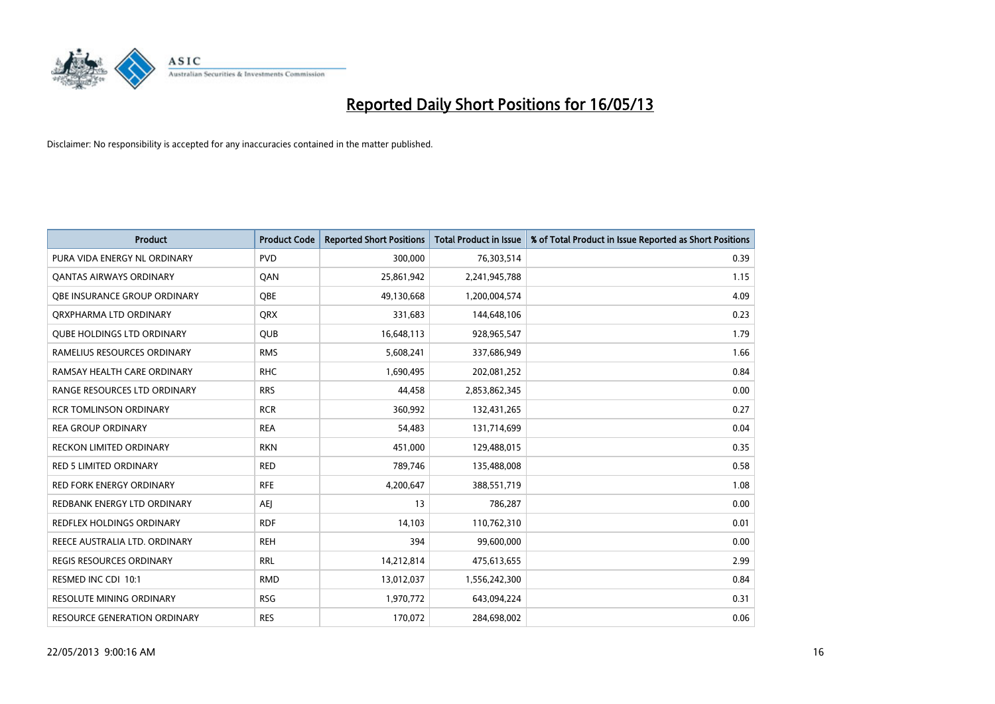

| <b>Product</b>                    | <b>Product Code</b> | <b>Reported Short Positions</b> | <b>Total Product in Issue</b> | % of Total Product in Issue Reported as Short Positions |
|-----------------------------------|---------------------|---------------------------------|-------------------------------|---------------------------------------------------------|
| PURA VIDA ENERGY NL ORDINARY      | <b>PVD</b>          | 300,000                         | 76,303,514                    | 0.39                                                    |
| <b>QANTAS AIRWAYS ORDINARY</b>    | QAN                 | 25,861,942                      | 2,241,945,788                 | 1.15                                                    |
| OBE INSURANCE GROUP ORDINARY      | <b>OBE</b>          | 49,130,668                      | 1,200,004,574                 | 4.09                                                    |
| ORXPHARMA LTD ORDINARY            | <b>QRX</b>          | 331,683                         | 144,648,106                   | 0.23                                                    |
| <b>QUBE HOLDINGS LTD ORDINARY</b> | <b>QUB</b>          | 16,648,113                      | 928,965,547                   | 1.79                                                    |
| RAMELIUS RESOURCES ORDINARY       | <b>RMS</b>          | 5,608,241                       | 337,686,949                   | 1.66                                                    |
| RAMSAY HEALTH CARE ORDINARY       | <b>RHC</b>          | 1,690,495                       | 202,081,252                   | 0.84                                                    |
| RANGE RESOURCES LTD ORDINARY      | <b>RRS</b>          | 44,458                          | 2,853,862,345                 | 0.00                                                    |
| <b>RCR TOMLINSON ORDINARY</b>     | <b>RCR</b>          | 360,992                         | 132,431,265                   | 0.27                                                    |
| <b>REA GROUP ORDINARY</b>         | <b>REA</b>          | 54,483                          | 131,714,699                   | 0.04                                                    |
| RECKON LIMITED ORDINARY           | <b>RKN</b>          | 451,000                         | 129,488,015                   | 0.35                                                    |
| <b>RED 5 LIMITED ORDINARY</b>     | <b>RED</b>          | 789,746                         | 135,488,008                   | 0.58                                                    |
| RED FORK ENERGY ORDINARY          | <b>RFE</b>          | 4,200,647                       | 388,551,719                   | 1.08                                                    |
| REDBANK ENERGY LTD ORDINARY       | AEJ                 | 13                              | 786,287                       | 0.00                                                    |
| REDFLEX HOLDINGS ORDINARY         | <b>RDF</b>          | 14,103                          | 110,762,310                   | 0.01                                                    |
| REECE AUSTRALIA LTD. ORDINARY     | <b>REH</b>          | 394                             | 99,600,000                    | 0.00                                                    |
| REGIS RESOURCES ORDINARY          | <b>RRL</b>          | 14,212,814                      | 475,613,655                   | 2.99                                                    |
| RESMED INC CDI 10:1               | <b>RMD</b>          | 13,012,037                      | 1,556,242,300                 | 0.84                                                    |
| <b>RESOLUTE MINING ORDINARY</b>   | <b>RSG</b>          | 1,970,772                       | 643,094,224                   | 0.31                                                    |
| RESOURCE GENERATION ORDINARY      | <b>RES</b>          | 170,072                         | 284,698,002                   | 0.06                                                    |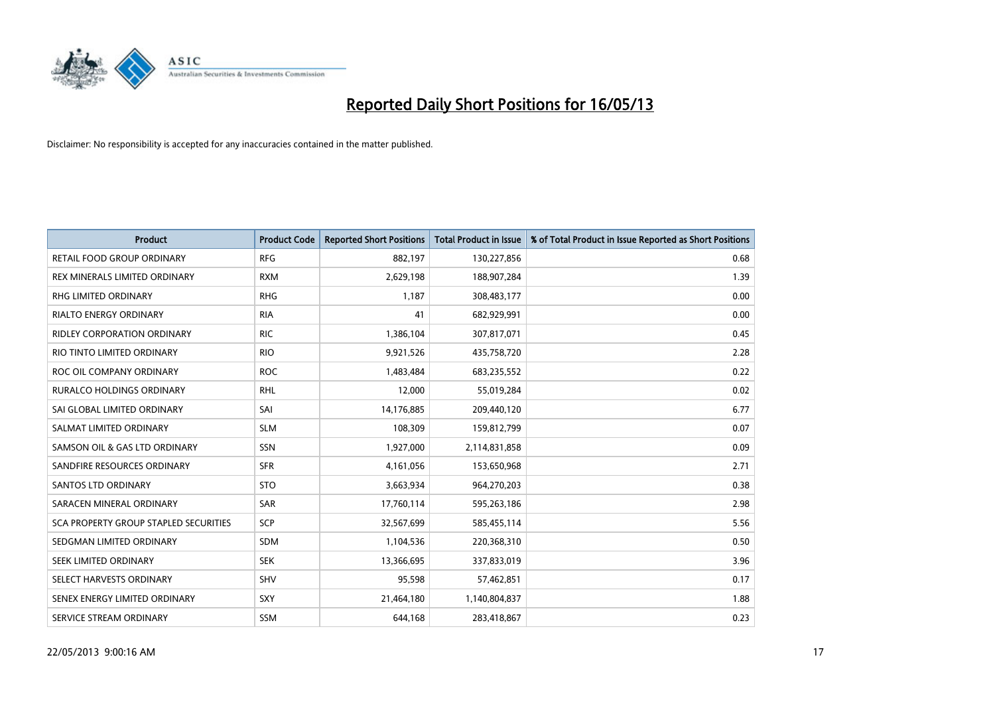

| <b>Product</b>                        | <b>Product Code</b> | <b>Reported Short Positions</b> | <b>Total Product in Issue</b> | % of Total Product in Issue Reported as Short Positions |
|---------------------------------------|---------------------|---------------------------------|-------------------------------|---------------------------------------------------------|
| RETAIL FOOD GROUP ORDINARY            | <b>RFG</b>          | 882,197                         | 130,227,856                   | 0.68                                                    |
| REX MINERALS LIMITED ORDINARY         | <b>RXM</b>          | 2,629,198                       | 188,907,284                   | 1.39                                                    |
| <b>RHG LIMITED ORDINARY</b>           | <b>RHG</b>          | 1,187                           | 308,483,177                   | 0.00                                                    |
| RIALTO ENERGY ORDINARY                | <b>RIA</b>          | 41                              | 682,929,991                   | 0.00                                                    |
| RIDLEY CORPORATION ORDINARY           | <b>RIC</b>          | 1,386,104                       | 307,817,071                   | 0.45                                                    |
| RIO TINTO LIMITED ORDINARY            | <b>RIO</b>          | 9,921,526                       | 435,758,720                   | 2.28                                                    |
| ROC OIL COMPANY ORDINARY              | <b>ROC</b>          | 1,483,484                       | 683,235,552                   | 0.22                                                    |
| RURALCO HOLDINGS ORDINARY             | <b>RHL</b>          | 12,000                          | 55,019,284                    | 0.02                                                    |
| SAI GLOBAL LIMITED ORDINARY           | SAI                 | 14,176,885                      | 209,440,120                   | 6.77                                                    |
| SALMAT LIMITED ORDINARY               | <b>SLM</b>          | 108,309                         | 159,812,799                   | 0.07                                                    |
| SAMSON OIL & GAS LTD ORDINARY         | SSN                 | 1,927,000                       | 2,114,831,858                 | 0.09                                                    |
| SANDFIRE RESOURCES ORDINARY           | <b>SFR</b>          | 4,161,056                       | 153,650,968                   | 2.71                                                    |
| <b>SANTOS LTD ORDINARY</b>            | <b>STO</b>          | 3,663,934                       | 964,270,203                   | 0.38                                                    |
| SARACEN MINERAL ORDINARY              | SAR                 | 17,760,114                      | 595,263,186                   | 2.98                                                    |
| SCA PROPERTY GROUP STAPLED SECURITIES | SCP                 | 32,567,699                      | 585,455,114                   | 5.56                                                    |
| SEDGMAN LIMITED ORDINARY              | <b>SDM</b>          | 1,104,536                       | 220,368,310                   | 0.50                                                    |
| SEEK LIMITED ORDINARY                 | <b>SEK</b>          | 13,366,695                      | 337,833,019                   | 3.96                                                    |
| SELECT HARVESTS ORDINARY              | SHV                 | 95,598                          | 57,462,851                    | 0.17                                                    |
| SENEX ENERGY LIMITED ORDINARY         | <b>SXY</b>          | 21,464,180                      | 1,140,804,837                 | 1.88                                                    |
| SERVICE STREAM ORDINARY               | <b>SSM</b>          | 644,168                         | 283,418,867                   | 0.23                                                    |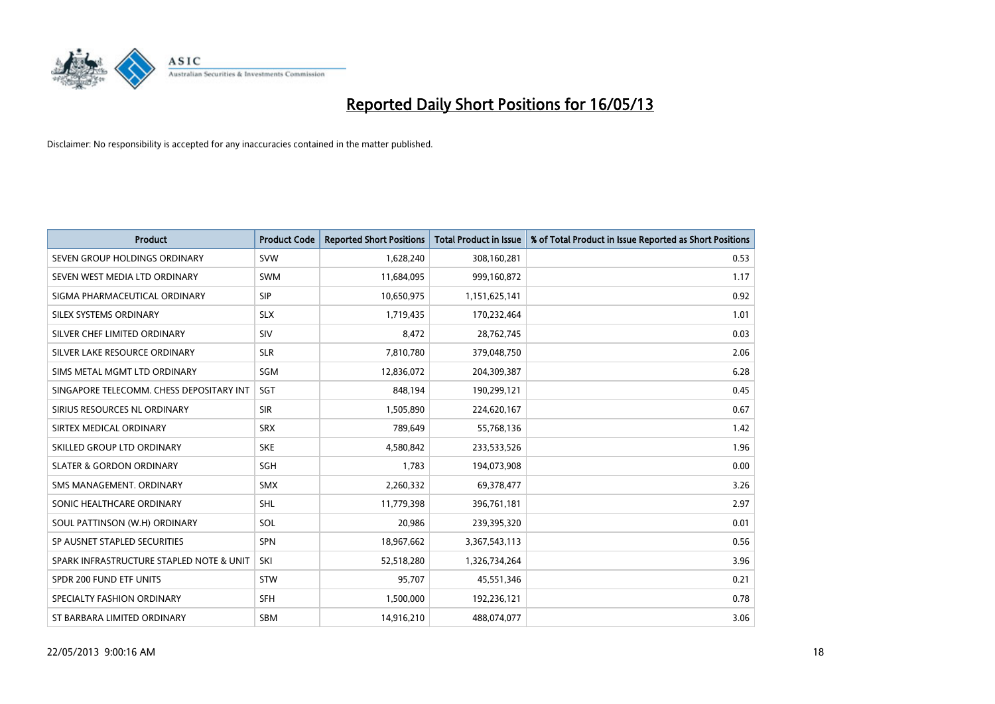

| <b>Product</b>                           | <b>Product Code</b> | <b>Reported Short Positions</b> | <b>Total Product in Issue</b> | % of Total Product in Issue Reported as Short Positions |
|------------------------------------------|---------------------|---------------------------------|-------------------------------|---------------------------------------------------------|
| SEVEN GROUP HOLDINGS ORDINARY            | <b>SVW</b>          | 1,628,240                       | 308,160,281                   | 0.53                                                    |
| SEVEN WEST MEDIA LTD ORDINARY            | <b>SWM</b>          | 11,684,095                      | 999,160,872                   | 1.17                                                    |
| SIGMA PHARMACEUTICAL ORDINARY            | <b>SIP</b>          | 10,650,975                      | 1,151,625,141                 | 0.92                                                    |
| SILEX SYSTEMS ORDINARY                   | <b>SLX</b>          | 1,719,435                       | 170,232,464                   | 1.01                                                    |
| SILVER CHEF LIMITED ORDINARY             | SIV                 | 8,472                           | 28,762,745                    | 0.03                                                    |
| SILVER LAKE RESOURCE ORDINARY            | <b>SLR</b>          | 7,810,780                       | 379,048,750                   | 2.06                                                    |
| SIMS METAL MGMT LTD ORDINARY             | SGM                 | 12,836,072                      | 204,309,387                   | 6.28                                                    |
| SINGAPORE TELECOMM. CHESS DEPOSITARY INT | <b>SGT</b>          | 848,194                         | 190,299,121                   | 0.45                                                    |
| SIRIUS RESOURCES NL ORDINARY             | <b>SIR</b>          | 1,505,890                       | 224,620,167                   | 0.67                                                    |
| SIRTEX MEDICAL ORDINARY                  | <b>SRX</b>          | 789,649                         | 55,768,136                    | 1.42                                                    |
| SKILLED GROUP LTD ORDINARY               | <b>SKE</b>          | 4,580,842                       | 233,533,526                   | 1.96                                                    |
| <b>SLATER &amp; GORDON ORDINARY</b>      | <b>SGH</b>          | 1,783                           | 194,073,908                   | 0.00                                                    |
| SMS MANAGEMENT, ORDINARY                 | <b>SMX</b>          | 2,260,332                       | 69,378,477                    | 3.26                                                    |
| SONIC HEALTHCARE ORDINARY                | <b>SHL</b>          | 11,779,398                      | 396,761,181                   | 2.97                                                    |
| SOUL PATTINSON (W.H) ORDINARY            | SOL                 | 20,986                          | 239,395,320                   | 0.01                                                    |
| SP AUSNET STAPLED SECURITIES             | <b>SPN</b>          | 18,967,662                      | 3,367,543,113                 | 0.56                                                    |
| SPARK INFRASTRUCTURE STAPLED NOTE & UNIT | SKI                 | 52,518,280                      | 1,326,734,264                 | 3.96                                                    |
| SPDR 200 FUND ETF UNITS                  | <b>STW</b>          | 95,707                          | 45,551,346                    | 0.21                                                    |
| SPECIALTY FASHION ORDINARY               | <b>SFH</b>          | 1,500,000                       | 192,236,121                   | 0.78                                                    |
| ST BARBARA LIMITED ORDINARY              | <b>SBM</b>          | 14,916,210                      | 488,074,077                   | 3.06                                                    |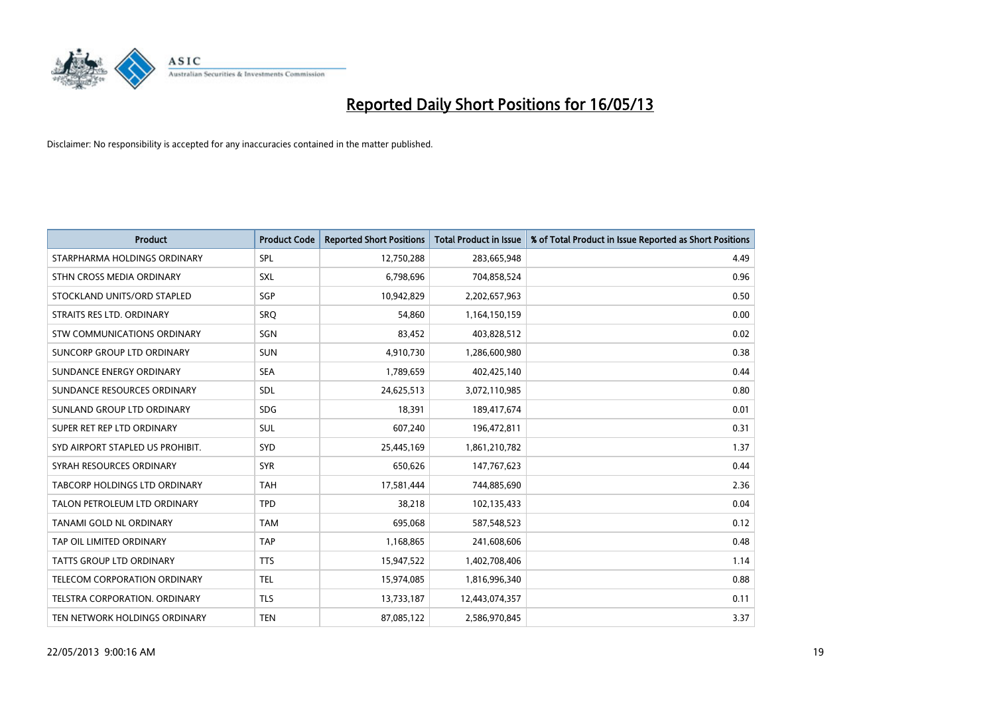

| <b>Product</b>                       | <b>Product Code</b> | <b>Reported Short Positions</b> | <b>Total Product in Issue</b> | % of Total Product in Issue Reported as Short Positions |
|--------------------------------------|---------------------|---------------------------------|-------------------------------|---------------------------------------------------------|
| STARPHARMA HOLDINGS ORDINARY         | SPL                 | 12,750,288                      | 283,665,948                   | 4.49                                                    |
| STHN CROSS MEDIA ORDINARY            | <b>SXL</b>          | 6,798,696                       | 704,858,524                   | 0.96                                                    |
| STOCKLAND UNITS/ORD STAPLED          | SGP                 | 10,942,829                      | 2,202,657,963                 | 0.50                                                    |
| STRAITS RES LTD. ORDINARY            | SRQ                 | 54,860                          | 1,164,150,159                 | 0.00                                                    |
| STW COMMUNICATIONS ORDINARY          | SGN                 | 83,452                          | 403,828,512                   | 0.02                                                    |
| SUNCORP GROUP LTD ORDINARY           | <b>SUN</b>          | 4,910,730                       | 1,286,600,980                 | 0.38                                                    |
| SUNDANCE ENERGY ORDINARY             | <b>SEA</b>          | 1,789,659                       | 402,425,140                   | 0.44                                                    |
| SUNDANCE RESOURCES ORDINARY          | <b>SDL</b>          | 24,625,513                      | 3,072,110,985                 | 0.80                                                    |
| SUNLAND GROUP LTD ORDINARY           | <b>SDG</b>          | 18,391                          | 189,417,674                   | 0.01                                                    |
| SUPER RET REP LTD ORDINARY           | <b>SUL</b>          | 607,240                         | 196,472,811                   | 0.31                                                    |
| SYD AIRPORT STAPLED US PROHIBIT.     | <b>SYD</b>          | 25,445,169                      | 1,861,210,782                 | 1.37                                                    |
| SYRAH RESOURCES ORDINARY             | <b>SYR</b>          | 650,626                         | 147,767,623                   | 0.44                                                    |
| TABCORP HOLDINGS LTD ORDINARY        | <b>TAH</b>          | 17,581,444                      | 744,885,690                   | 2.36                                                    |
| TALON PETROLEUM LTD ORDINARY         | <b>TPD</b>          | 38,218                          | 102,135,433                   | 0.04                                                    |
| TANAMI GOLD NL ORDINARY              | <b>TAM</b>          | 695,068                         | 587,548,523                   | 0.12                                                    |
| TAP OIL LIMITED ORDINARY             | <b>TAP</b>          | 1,168,865                       | 241,608,606                   | 0.48                                                    |
| TATTS GROUP LTD ORDINARY             | <b>TTS</b>          | 15,947,522                      | 1,402,708,406                 | 1.14                                                    |
| TELECOM CORPORATION ORDINARY         | <b>TEL</b>          | 15,974,085                      | 1,816,996,340                 | 0.88                                                    |
| <b>TELSTRA CORPORATION, ORDINARY</b> | <b>TLS</b>          | 13,733,187                      | 12,443,074,357                | 0.11                                                    |
| TEN NETWORK HOLDINGS ORDINARY        | <b>TEN</b>          | 87,085,122                      | 2,586,970,845                 | 3.37                                                    |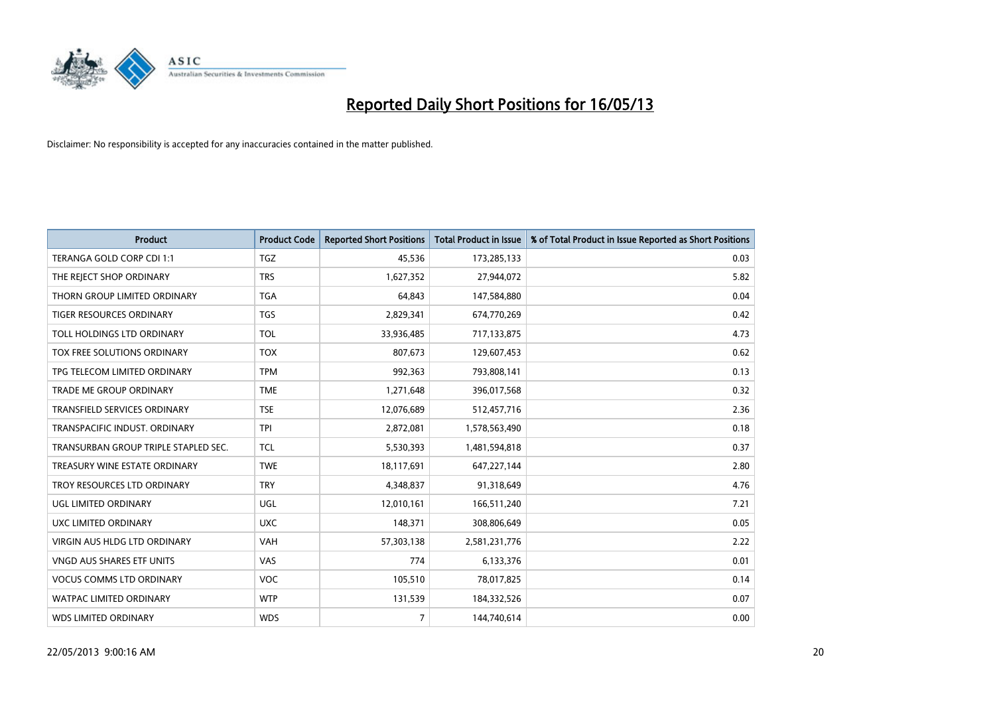

| <b>Product</b>                       | <b>Product Code</b> | <b>Reported Short Positions</b> | <b>Total Product in Issue</b> | % of Total Product in Issue Reported as Short Positions |
|--------------------------------------|---------------------|---------------------------------|-------------------------------|---------------------------------------------------------|
| TERANGA GOLD CORP CDI 1:1            | <b>TGZ</b>          | 45,536                          | 173,285,133                   | 0.03                                                    |
| THE REJECT SHOP ORDINARY             | <b>TRS</b>          | 1,627,352                       | 27,944,072                    | 5.82                                                    |
| THORN GROUP LIMITED ORDINARY         | <b>TGA</b>          | 64,843                          | 147,584,880                   | 0.04                                                    |
| TIGER RESOURCES ORDINARY             | <b>TGS</b>          | 2,829,341                       | 674,770,269                   | 0.42                                                    |
| TOLL HOLDINGS LTD ORDINARY           | <b>TOL</b>          | 33,936,485                      | 717,133,875                   | 4.73                                                    |
| TOX FREE SOLUTIONS ORDINARY          | <b>TOX</b>          | 807,673                         | 129,607,453                   | 0.62                                                    |
| TPG TELECOM LIMITED ORDINARY         | <b>TPM</b>          | 992,363                         | 793,808,141                   | 0.13                                                    |
| TRADE ME GROUP ORDINARY              | <b>TME</b>          | 1,271,648                       | 396,017,568                   | 0.32                                                    |
| <b>TRANSFIELD SERVICES ORDINARY</b>  | <b>TSE</b>          | 12,076,689                      | 512,457,716                   | 2.36                                                    |
| TRANSPACIFIC INDUST, ORDINARY        | <b>TPI</b>          | 2,872,081                       | 1,578,563,490                 | 0.18                                                    |
| TRANSURBAN GROUP TRIPLE STAPLED SEC. | <b>TCL</b>          | 5,530,393                       | 1,481,594,818                 | 0.37                                                    |
| TREASURY WINE ESTATE ORDINARY        | <b>TWE</b>          | 18,117,691                      | 647,227,144                   | 2.80                                                    |
| TROY RESOURCES LTD ORDINARY          | <b>TRY</b>          | 4,348,837                       | 91,318,649                    | 4.76                                                    |
| UGL LIMITED ORDINARY                 | UGL                 | 12,010,161                      | 166,511,240                   | 7.21                                                    |
| UXC LIMITED ORDINARY                 | <b>UXC</b>          | 148,371                         | 308,806,649                   | 0.05                                                    |
| VIRGIN AUS HLDG LTD ORDINARY         | VAH                 | 57,303,138                      | 2,581,231,776                 | 2.22                                                    |
| VNGD AUS SHARES ETF UNITS            | VAS                 | 774                             | 6,133,376                     | 0.01                                                    |
| <b>VOCUS COMMS LTD ORDINARY</b>      | <b>VOC</b>          | 105,510                         | 78,017,825                    | 0.14                                                    |
| <b>WATPAC LIMITED ORDINARY</b>       | <b>WTP</b>          | 131,539                         | 184,332,526                   | 0.07                                                    |
| <b>WDS LIMITED ORDINARY</b>          | <b>WDS</b>          | $\overline{7}$                  | 144,740,614                   | 0.00                                                    |